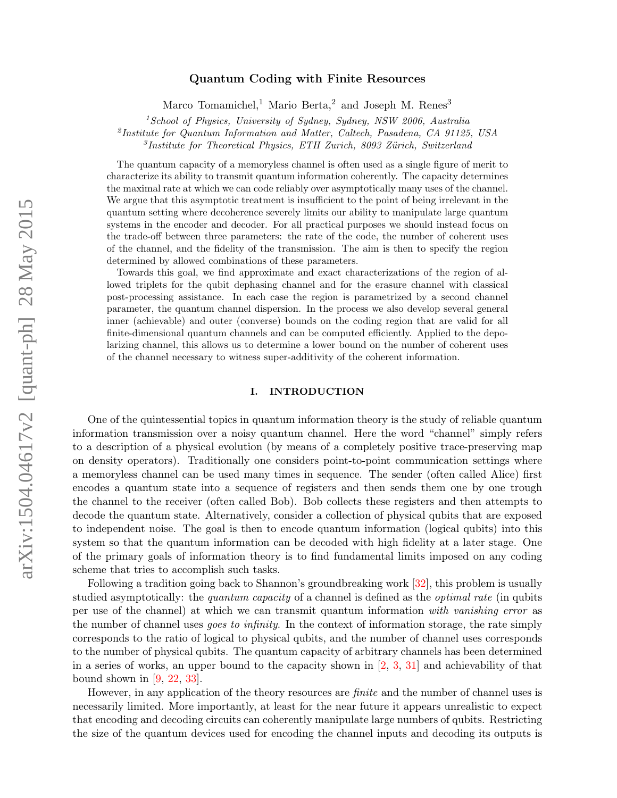# arXiv:1504.04617v2 [quant-ph] 28 May 2015 arXiv:1504.04617v2 [quant-ph] 28 May 2015

# Quantum Coding with Finite Resources

Marco Tomamichel,<sup>1</sup> Mario Berta,<sup>2</sup> and Joseph M. Renes<sup>3</sup>

 $1$ School of Physics, University of Sydney, Sydney, NSW 2006, Australia

<span id="page-0-0"></span><sup>2</sup>Institute for Quantum Information and Matter, Caltech, Pasadena, CA 91125, USA

<sup>3</sup>Institute for Theoretical Physics, ETH Zurich, 8093 Zürich, Switzerland

The quantum capacity of a memoryless channel is often used as a single figure of merit to characterize its ability to transmit quantum information coherently. The capacity determines the maximal rate at which we can code reliably over asymptotically many uses of the channel. We argue that this asymptotic treatment is insufficient to the point of being irrelevant in the quantum setting where decoherence severely limits our ability to manipulate large quantum systems in the encoder and decoder. For all practical purposes we should instead focus on the trade-off between three parameters: the rate of the code, the number of coherent uses of the channel, and the fidelity of the transmission. The aim is then to specify the region determined by allowed combinations of these parameters.

Towards this goal, we find approximate and exact characterizations of the region of allowed triplets for the qubit dephasing channel and for the erasure channel with classical post-processing assistance. In each case the region is parametrized by a second channel parameter, the quantum channel dispersion. In the process we also develop several general inner (achievable) and outer (converse) bounds on the coding region that are valid for all finite-dimensional quantum channels and can be computed efficiently. Applied to the depolarizing channel, this allows us to determine a lower bound on the number of coherent uses of the channel necessary to witness super-additivity of the coherent information.

# I. INTRODUCTION

One of the quintessential topics in quantum information theory is the study of reliable quantum information transmission over a noisy quantum channel. Here the word "channel" simply refers to a description of a physical evolution (by means of a completely positive trace-preserving map on density operators). Traditionally one considers point-to-point communication settings where a memoryless channel can be used many times in sequence. The sender (often called Alice) first encodes a quantum state into a sequence of registers and then sends them one by one trough the channel to the receiver (often called Bob). Bob collects these registers and then attempts to decode the quantum state. Alternatively, consider a collection of physical qubits that are exposed to independent noise. The goal is then to encode quantum information (logical qubits) into this system so that the quantum information can be decoded with high fidelity at a later stage. One of the primary goals of information theory is to find fundamental limits imposed on any coding scheme that tries to accomplish such tasks.

Following a tradition going back to Shannon's groundbreaking work [\[32\]](#page-22-0), this problem is usually studied asymptotically: the *quantum capacity* of a channel is defined as the *optimal rate* (in qubits per use of the channel) at which we can transmit quantum information with vanishing error as the number of channel uses goes to infinity. In the context of information storage, the rate simply corresponds to the ratio of logical to physical qubits, and the number of channel uses corresponds to the number of physical qubits. The quantum capacity of arbitrary channels has been determined in a series of works, an upper bound to the capacity shown in [\[2,](#page-21-0) [3,](#page-21-1) [31\]](#page-22-1) and achievability of that bound shown in  $[9, 22, 33]$  $[9, 22, 33]$  $[9, 22, 33]$  $[9, 22, 33]$ .

However, in any application of the theory resources are finite and the number of channel uses is necessarily limited. More importantly, at least for the near future it appears unrealistic to expect that encoding and decoding circuits can coherently manipulate large numbers of qubits. Restricting the size of the quantum devices used for encoding the channel inputs and decoding its outputs is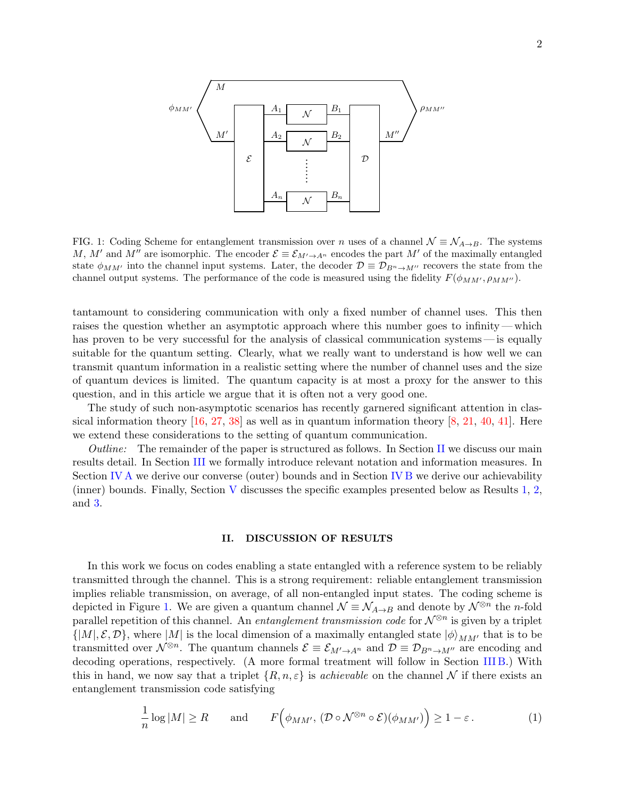

<span id="page-1-1"></span>FIG. 1: Coding Scheme for entanglement transmission over n uses of a channel  $\mathcal{N} \equiv \mathcal{N}_{A\rightarrow B}$ . The systems M, M' and M'' are isomorphic. The encoder  $\mathcal{E} \equiv \mathcal{E}_{M' \to A^{n}}$  encodes the part M' of the maximally entangled state  $\phi_{MM'}$  into the channel input systems. Later, the decoder  $\mathcal{D} \equiv \mathcal{D}_{B^n \to M''}$  recovers the state from the channel output systems. The performance of the code is measured using the fidelity  $F(\phi_{MM'}, \rho_{MM'})$ .

tantamount to considering communication with only a fixed number of channel uses. This then raises the question whether an asymptotic approach where this number goes to infinity — which has proven to be very successful for the analysis of classical communication systems— is equally suitable for the quantum setting. Clearly, what we really want to understand is how well we can transmit quantum information in a realistic setting where the number of channel uses and the size of quantum devices is limited. The quantum capacity is at most a proxy for the answer to this question, and in this article we argue that it is often not a very good one.

The study of such non-asymptotic scenarios has recently garnered significant attention in classical information theory  $[16, 27, 38]$  $[16, 27, 38]$  $[16, 27, 38]$  $[16, 27, 38]$  as well as in quantum information theory  $[8, 21, 40, 41]$  $[8, 21, 40, 41]$  $[8, 21, 40, 41]$  $[8, 21, 40, 41]$  $[8, 21, 40, 41]$  $[8, 21, 40, 41]$ . Here we extend these considerations to the setting of quantum communication.

Outline: The remainder of the paper is structured as follows. In Section [II](#page-1-0) we discuss our main results detail. In Section [III](#page-7-0) we formally introduce relevant notation and information measures. In Section [IV A](#page-9-0) we derive our converse (outer) bounds and in Section [IV B](#page-12-0) we derive our achievability (inner) bounds. Finally, Section [V](#page-14-0) discusses the specific examples presented below as Results [1,](#page-3-0) [2,](#page-5-0) and [3.](#page-6-0)

# <span id="page-1-2"></span><span id="page-1-0"></span>II. DISCUSSION OF RESULTS

In this work we focus on codes enabling a state entangled with a reference system to be reliably transmitted through the channel. This is a strong requirement: reliable entanglement transmission implies reliable transmission, on average, of all non-entangled input states. The coding scheme is depicted in Figure [1.](#page-1-1) We are given a quantum channel  $\mathcal{N} \equiv \mathcal{N}_{A\to B}$  and denote by  $\mathcal{N}^{\otimes n}$  the *n*-fold parallel repetition of this channel. An *entanglement transmission code* for  $\mathcal{N}^{\otimes n}$  is given by a triplet  $\{|M|, \mathcal{E}, \mathcal{D}\}\$ , where  $|M|$  is the local dimension of a maximally entangled state  $|\phi\rangle_{MM'}$  that is to be transmitted over  $\mathcal{N}^{\otimes n}$ . The quantum channels  $\mathcal{E} \equiv \mathcal{E}_{M'\to A^n}$  and  $\mathcal{D} \equiv \mathcal{D}_{B^n\to M''}$  are encoding and decoding operations, respectively. (A more formal treatment will follow in Section [III B.](#page-8-0)) With this in hand, we now say that a triplet  $\{R, n, \varepsilon\}$  is *achievable* on the channel N if there exists an entanglement transmission code satisfying

$$
\frac{1}{n}\log|M| \ge R \quad \text{and} \quad F\Big(\phi_{MM'},\, (\mathcal{D} \circ \mathcal{N}^{\otimes n} \circ \mathcal{E})(\phi_{MM'})\Big) \ge 1 - \varepsilon. \tag{1}
$$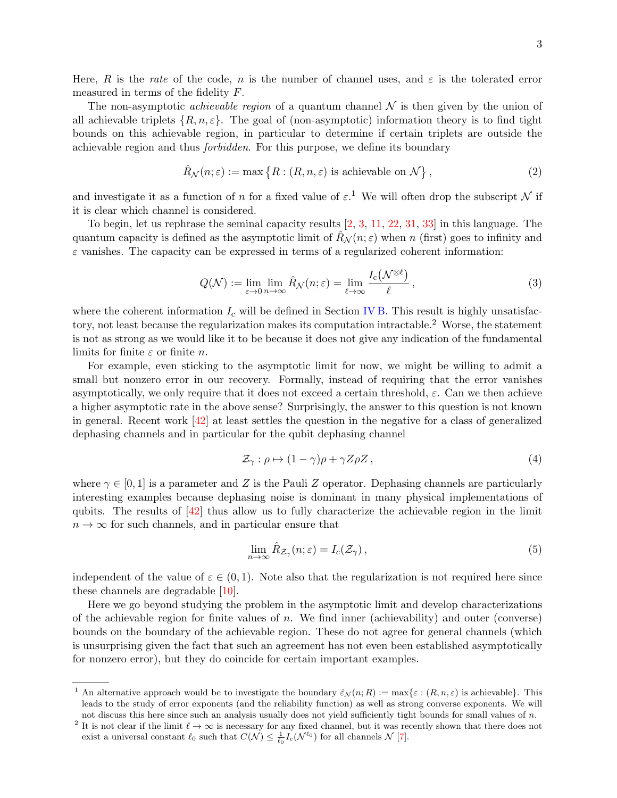Here, R is the rate of the code, n is the number of channel uses, and  $\varepsilon$  is the tolerated error measured in terms of the fidelity F.

The non-asymptotic *achievable region* of a quantum channel  $\mathcal N$  is then given by the union of all achievable triplets  $\{R, n, \varepsilon\}$ . The goal of (non-asymptotic) information theory is to find tight bounds on this achievable region, in particular to determine if certain triplets are outside the achievable region and thus forbidden. For this purpose, we define its boundary

$$
\hat{R}_{\mathcal{N}}(n;\varepsilon) := \max\left\{ R : (R, n, \varepsilon) \text{ is achievable on } \mathcal{N} \right\},\tag{2}
$$

and investigate it as a function of n for a fixed value of  $\varepsilon$ .<sup>1</sup> We will often drop the subscript N if it is clear which channel is considered.

To begin, let us rephrase the seminal capacity results [\[2,](#page-21-0) [3,](#page-21-1) [11,](#page-22-8) [22,](#page-22-3) [31,](#page-22-1) [33\]](#page-22-4) in this language. The quantum capacity is defined as the asymptotic limit of  $R_N(n;\varepsilon)$  when n (first) goes to infinity and  $\varepsilon$  vanishes. The capacity can be expressed in terms of a regularized coherent information:

$$
Q(\mathcal{N}) := \lim_{\varepsilon \to 0} \lim_{n \to \infty} \hat{R}_{\mathcal{N}}(n; \varepsilon) = \lim_{\ell \to \infty} \frac{I_{\mathrm{c}}(\mathcal{N}^{\otimes \ell})}{\ell},\tag{3}
$$

where the coherent information  $I_c$  will be defined in Section [IV B.](#page-12-0) This result is highly unsatisfactory, not least because the regularization makes its computation intractable.<sup>2</sup> Worse, the statement is not as strong as we would like it to be because it does not give any indication of the fundamental limits for finite  $\varepsilon$  or finite n.

For example, even sticking to the asymptotic limit for now, we might be willing to admit a small but nonzero error in our recovery. Formally, instead of requiring that the error vanishes asymptotically, we only require that it does not exceed a certain threshold,  $\varepsilon$ . Can we then achieve a higher asymptotic rate in the above sense? Surprisingly, the answer to this question is not known in general. Recent work [\[42\]](#page-23-3) at least settles the question in the negative for a class of generalized dephasing channels and in particular for the qubit dephasing channel

$$
\mathcal{Z}_{\gamma} : \rho \mapsto (1 - \gamma)\rho + \gamma Z \rho Z , \qquad (4)
$$

where  $\gamma \in [0,1]$  is a parameter and Z is the Pauli Z operator. Dephasing channels are particularly interesting examples because dephasing noise is dominant in many physical implementations of qubits. The results of [\[42\]](#page-23-3) thus allow us to fully characterize the achievable region in the limit  $n \to \infty$  for such channels, and in particular ensure that

$$
\lim_{n \to \infty} \hat{R}_{\mathcal{Z}_{\gamma}}(n; \varepsilon) = I_c(\mathcal{Z}_{\gamma}), \tag{5}
$$

independent of the value of  $\varepsilon \in (0,1)$ . Note also that the regularization is not required here since these channels are degradable  $[10]$ .

Here we go beyond studying the problem in the asymptotic limit and develop characterizations of the achievable region for finite values of n. We find inner (achievability) and outer (converse) bounds on the boundary of the achievable region. These do not agree for general channels (which is unsurprising given the fact that such an agreement has not even been established asymptotically for nonzero error), but they do coincide for certain important examples.

<sup>&</sup>lt;sup>1</sup> An alternative approach would be to investigate the boundary  $\hat{\varepsilon}_{\mathcal{N}}(n;R) := \max{\varepsilon : (R, n, \varepsilon)}$  is achievable}. This leads to the study of error exponents (and the reliability function) as well as strong converse exponents. We will not discuss this here since such an analysis usually does not yield sufficiently tight bounds for small values of  $n$ .

<sup>&</sup>lt;sup>2</sup> It is not clear if the limit  $\ell \to \infty$  is necessary for any fixed channel, but it was recently shown that there does not exist a universal constant  $\ell_0$  such that  $C(\mathcal{N}) \leq \frac{1}{\ell_0} I_c(\mathcal{N}^{\ell_0})$  for all channels  $\mathcal{N}$  [\[7\]](#page-21-3).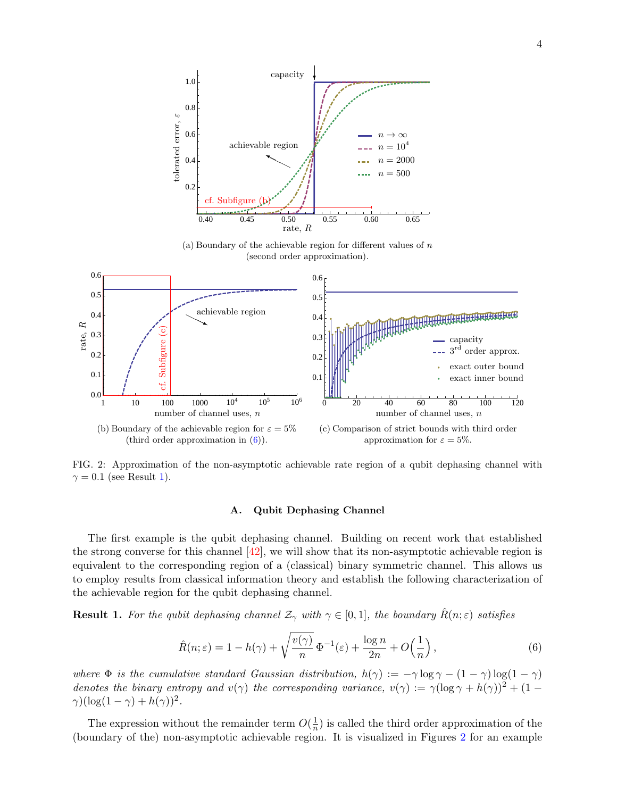<span id="page-3-3"></span>

(a) Boundary of the achievable region for different values of  $n$ (second order approximation).



<span id="page-3-4"></span><span id="page-3-2"></span>FIG. 2: Approximation of the non-asymptotic achievable rate region of a qubit dephasing channel with  $\gamma = 0.1$  (see Result [1\)](#page-3-0).

# <span id="page-3-5"></span><span id="page-3-1"></span>A. Qubit Dephasing Channel

The first example is the qubit dephasing channel. Building on recent work that established the strong converse for this channel  $[42]$ , we will show that its non-asymptotic achievable region is equivalent to the corresponding region of a (classical) binary symmetric channel. This allows us to employ results from classical information theory and establish the following characterization of the achievable region for the qubit dephasing channel.

<span id="page-3-0"></span>**Result 1.** For the qubit dephasing channel  $\mathcal{Z}_{\gamma}$  with  $\gamma \in [0,1]$ , the boundary  $\hat{R}(n; \varepsilon)$  satisfies

$$
\hat{R}(n;\varepsilon) = 1 - h(\gamma) + \sqrt{\frac{v(\gamma)}{n}} \Phi^{-1}(\varepsilon) + \frac{\log n}{2n} + O\left(\frac{1}{n}\right),\tag{6}
$$

where  $\Phi$  is the cumulative standard Gaussian distribution,  $h(\gamma) := -\gamma \log \gamma - (1 - \gamma) \log(1 - \gamma)$ denotes the binary entropy and  $v(\gamma)$  the corresponding variance,  $v(\gamma) := \gamma (\log \gamma + h(\gamma))^2 + (1 \gamma$ )(log(1 –  $\gamma$ ) +  $h(\gamma)$ )<sup>2</sup>.

The expression without the remainder term  $O(\frac{1}{n})$  $\frac{1}{n}$ ) is called the third order approximation of the (boundary of the) non-asymptotic achievable region. It is visualized in Figures [2](#page-3-2) for an example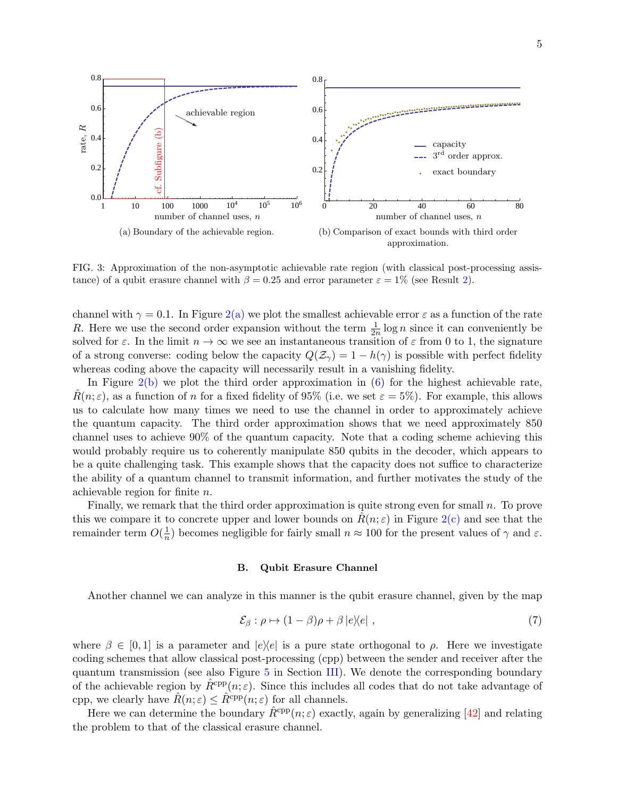<span id="page-4-1"></span>

<span id="page-4-2"></span><span id="page-4-0"></span>FIG. 3: Approximation of the non-asymptotic achievable rate region (with classical post-processing assistance) of a qubit erasure channel with  $\beta = 0.25$  and error parameter  $\varepsilon = 1\%$  (see Result [2\)](#page-5-0).

channel with  $\gamma = 0.1$ . In Figure [2\(a\)](#page-3-3) we plot the smallest achievable error  $\varepsilon$  as a function of the rate R. Here we use the second order expansion without the term  $\frac{1}{2n} \log n$  since it can conveniently be solved for  $\varepsilon$ . In the limit  $n \to \infty$  we see an instantaneous transition of  $\varepsilon$  from 0 to 1, the signature of a strong converse: coding below the capacity  $Q(\mathcal{Z}_{\gamma}) = 1 - h(\gamma)$  is possible with perfect fidelity whereas coding above the capacity will necessarily result in a vanishing fidelity.

In Figure  $2(b)$  we plot the third order approximation in  $(6)$  for the highest achievable rate,  $R(n;\varepsilon)$ , as a function of n for a fixed fidelity of 95% (i.e. we set  $\varepsilon = 5\%$ ). For example, this allows us to calculate how many times we need to use the channel in order to approximately achieve the quantum capacity. The third order approximation shows that we need approximately 850 channel uses to achieve 90% of the quantum capacity. Note that a coding scheme achieving this would probably require us to coherently manipulate 850 qubits in the decoder, which appears to be a quite challenging task. This example shows that the capacity does not suffice to characterize the ability of a quantum channel to transmit information, and further motivates the study of the achievable region for finite n.

Finally, we remark that the third order approximation is quite strong even for small n. To prove this we compare it to concrete upper and lower bounds on  $R(n; \varepsilon)$  in Figure [2\(c\)](#page-3-5) and see that the remainder term  $O(\frac{1}{n})$  $\frac{1}{n}$ ) becomes negligible for fairly small  $n \approx 100$  for the present values of  $\gamma$  and  $\varepsilon$ .

### B. Qubit Erasure Channel

Another channel we can analyze in this manner is the qubit erasure channel, given by the map

$$
\mathcal{E}_{\beta} : \rho \mapsto (1 - \beta)\rho + \beta |e\rangle\langle e| \tag{7}
$$

where  $\beta \in [0, 1]$  is a parameter and  $|e\rangle\langle e|$  is a pure state orthogonal to  $\rho$ . Here we investigate coding schemes that allow classical post-processing (cpp) between the sender and receiver after the quantum transmission (see also Figure [5](#page-9-1) in Section [III\)](#page-7-0). We denote the corresponding boundary of the achievable region by  $\hat{R}^{\text{cpp}}(n;\varepsilon)$ . Since this includes all codes that do not take advantage of cpp, we clearly have  $\hat{R}(n; \varepsilon) \leq \hat{R}^{\text{cpp}}(n; \varepsilon)$  for all channels.

Here we can determine the boundary  $\hat{R}^{\text{cpp}}(n;\varepsilon)$  exactly, again by generalizing [\[42\]](#page-23-3) and relating the problem to that of the classical erasure channel.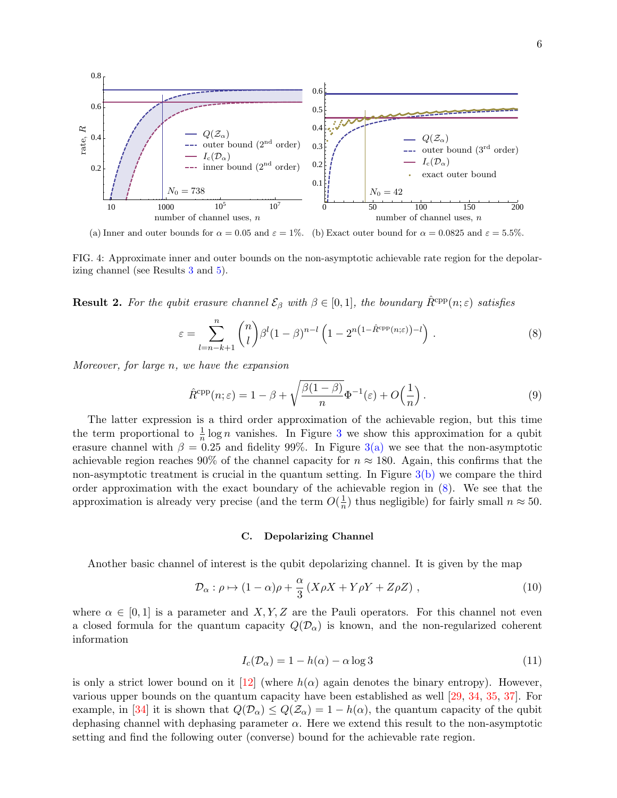<span id="page-5-3"></span>

<span id="page-5-2"></span>(a) Inner and outer bounds for  $\alpha = 0.05$  and  $\varepsilon = 1\%$ . (b) Exact outer bound for  $\alpha = 0.0825$  and  $\varepsilon = 5.5\%$ .

FIG. 4: Approximate inner and outer bounds on the non-asymptotic achievable rate region for the depolarizing channel (see Results [3](#page-6-0) and [5\)](#page-7-1).

<span id="page-5-0"></span>**Result 2.** For the qubit erasure channel  $\mathcal{E}_{\beta}$  with  $\beta \in [0,1]$ , the boundary  $\hat{R}^{\text{cpp}}(n;\varepsilon)$  satisfies

<span id="page-5-4"></span>
$$
\varepsilon = \sum_{l=n-k+1}^{n} {n \choose l} \beta^l (1-\beta)^{n-l} \left(1 - 2^{n\left(1 - \hat{R}^{\text{cpp}}(n;\varepsilon)\right) - l}\right).
$$
\n(8)

Moreover, for large n, we have the expansion

<span id="page-5-1"></span>
$$
\hat{R}^{\text{cpp}}(n;\varepsilon) = 1 - \beta + \sqrt{\frac{\beta(1-\beta)}{n}} \Phi^{-1}(\varepsilon) + O\left(\frac{1}{n}\right). \tag{9}
$$

The latter expression is a third order approximation of the achievable region, but this time the term proportional to  $\frac{1}{n} \log n$  vanishes. In Figure [3](#page-4-0) we show this approximation for a qubit erasure channel with  $\beta = 0.25$  and fidelity 99%. In Figure [3\(a\)](#page-4-1) we see that the non-asymptotic achievable region reaches 90% of the channel capacity for  $n \approx 180$ . Again, this confirms that the non-asymptotic treatment is crucial in the quantum setting. In Figure  $3(b)$  we compare the third order approximation with the exact boundary of the achievable region in [\(8\)](#page-5-1). We see that the approximation is already very precise (and the term  $O(\frac{1}{n})$  $\frac{1}{n}$ ) thus negligible) for fairly small  $n \approx 50$ .

# C. Depolarizing Channel

Another basic channel of interest is the qubit depolarizing channel. It is given by the map

$$
\mathcal{D}_{\alpha}: \rho \mapsto (1 - \alpha)\rho + \frac{\alpha}{3} \left( X\rho X + Y\rho Y + Z\rho Z \right) , \qquad (10)
$$

where  $\alpha \in [0,1]$  is a parameter and X, Y, Z are the Pauli operators. For this channel not even a closed formula for the quantum capacity  $Q(\mathcal{D}_{\alpha})$  is known, and the non-regularized coherent information

$$
I_c(\mathcal{D}_\alpha) = 1 - h(\alpha) - \alpha \log 3 \tag{11}
$$

is only a strict lower bound on it  $[12]$  (where  $h(\alpha)$  again denotes the binary entropy). However, various upper bounds on the quantum capacity have been established as well [\[29,](#page-22-11) [34,](#page-22-12) [35,](#page-22-13) [37\]](#page-23-4). For example, in [\[34\]](#page-22-12) it is shown that  $Q(\mathcal{D}_{\alpha}) \leq Q(\mathcal{Z}_{\alpha}) = 1 - h(\alpha)$ , the quantum capacity of the qubit dephasing channel with dephasing parameter  $\alpha$ . Here we extend this result to the non-asymptotic setting and find the following outer (converse) bound for the achievable rate region.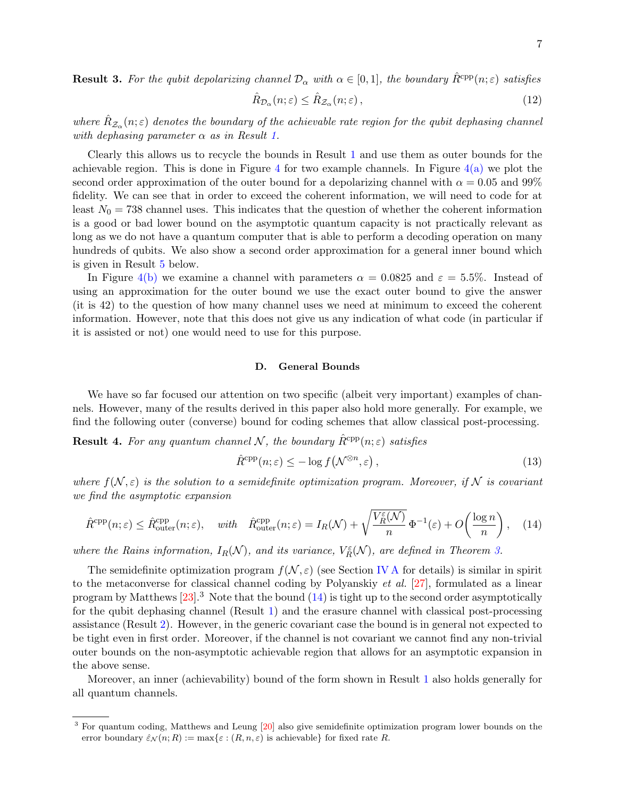<span id="page-6-0"></span>**Result 3.** For the qubit depolarizing channel  $\mathcal{D}_{\alpha}$  with  $\alpha \in [0,1]$ , the boundary  $\hat{R}^{\text{cpp}}(n;\varepsilon)$  satisfies

$$
\hat{R}_{\mathcal{D}_{\alpha}}(n;\varepsilon) \le \hat{R}_{\mathcal{Z}_{\alpha}}(n;\varepsilon) \,,\tag{12}
$$

where  $\hat{R}_{\mathcal{Z}_{\alpha}}(n;\varepsilon)$  denotes the boundary of the achievable rate region for the qubit dephasing channel with dephasing parameter  $\alpha$  as in Result [1.](#page-3-0)

Clearly this allows us to recycle the bounds in Result [1](#page-3-0) and use them as outer bounds for the achievable region. This is done in Figure [4](#page-5-2) for two example channels. In Figure  $4(a)$  we plot the second order approximation of the outer bound for a depolarizing channel with  $\alpha = 0.05$  and 99% fidelity. We can see that in order to exceed the coherent information, we will need to code for at least  $N_0 = 738$  channel uses. This indicates that the question of whether the coherent information is a good or bad lower bound on the asymptotic quantum capacity is not practically relevant as long as we do not have a quantum computer that is able to perform a decoding operation on many hundreds of qubits. We also show a second order approximation for a general inner bound which is given in Result [5](#page-7-1) below.

In Figure [4\(b\)](#page-5-4) we examine a channel with parameters  $\alpha = 0.0825$  and  $\varepsilon = 5.5\%$ . Instead of using an approximation for the outer bound we use the exact outer bound to give the answer (it is 42) to the question of how many channel uses we need at minimum to exceed the coherent information. However, note that this does not give us any indication of what code (in particular if it is assisted or not) one would need to use for this purpose.

# D. General Bounds

We have so far focused our attention on two specific (albeit very important) examples of channels. However, many of the results derived in this paper also hold more generally. For example, we find the following outer (converse) bound for coding schemes that allow classical post-processing.

<span id="page-6-2"></span>**Result 4.** For any quantum channel N, the boundary  $\hat{R}^{\text{cpp}}(n;\varepsilon)$  satisfies

<span id="page-6-1"></span>
$$
\hat{R}^{\text{cpp}}(n;\varepsilon) \le -\log f\big(\mathcal{N}^{\otimes n}, \varepsilon\big) \,,\tag{13}
$$

where  $f(N, \varepsilon)$  is the solution to a semidefinite optimization program. Moreover, if N is covariant we find the asymptotic expansion

$$
\hat{R}^{\text{cpp}}(n;\varepsilon) \le \hat{R}_{\text{outer}}^{\text{cpp}}(n;\varepsilon), \quad \text{with} \quad \hat{R}_{\text{outer}}^{\text{cpp}}(n;\varepsilon) = I_R(\mathcal{N}) + \sqrt{\frac{V_R^{\varepsilon}(\mathcal{N})}{n}} \Phi^{-1}(\varepsilon) + O\left(\frac{\log n}{n}\right), \quad (14)
$$

where the Rains information,  $I_R(\mathcal{N})$ , and its variance,  $V_R^{\varepsilon}(\mathcal{N})$ , are defined in Theorem [3.](#page-12-1)

The semidefinite optimization program  $f(\mathcal{N}, \varepsilon)$  (see Section [IV A](#page-9-0) for details) is similar in spirit to the metaconverse for classical channel coding by Polyanskiy et al. [\[27\]](#page-22-6), formulated as a linear program by Matthews  $[23]$ .<sup>3</sup> Note that the bound  $(14)$  is tight up to the second order asymptotically for the qubit dephasing channel (Result [1\)](#page-3-0) and the erasure channel with classical post-processing assistance (Result [2\)](#page-5-0). However, in the generic covariant case the bound is in general not expected to be tight even in first order. Moreover, if the channel is not covariant we cannot find any non-trivial outer bounds on the non-asymptotic achievable region that allows for an asymptotic expansion in the above sense.

Moreover, an inner (achievability) bound of the form shown in Result [1](#page-3-0) also holds generally for all quantum channels.

<sup>3</sup> For quantum coding, Matthews and Leung [\[20\]](#page-22-15) also give semidefinite optimization program lower bounds on the error boundary  $\hat{\varepsilon}_{\mathcal{N}}(n;R) := \max{\varepsilon : (R, n, \varepsilon)$  is achievable for fixed rate R.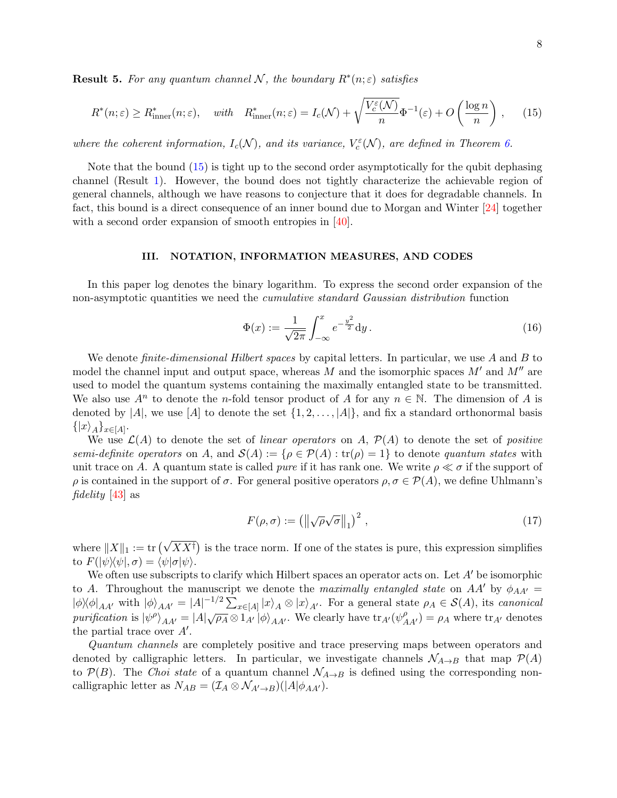<span id="page-7-1"></span>**Result 5.** For any quantum channel N, the boundary  $R^*(n; \varepsilon)$  satisfies

$$
R^*(n; \varepsilon) \ge R^*_{\text{inner}}(n; \varepsilon), \quad \text{with} \quad R^*_{\text{inner}}(n; \varepsilon) = I_c(\mathcal{N}) + \sqrt{\frac{V_c^{\varepsilon}(\mathcal{N})}{n}} \Phi^{-1}(\varepsilon) + O\left(\frac{\log n}{n}\right), \tag{15}
$$

where the coherent information,  $I_c(\mathcal{N})$ , and its variance,  $V_c^{\varepsilon}(\mathcal{N})$ , are defined in Theorem [6.](#page-13-0)

Note that the bound [\(15\)](#page-7-2) is tight up to the second order asymptotically for the qubit dephasing channel (Result [1\)](#page-3-0). However, the bound does not tightly characterize the achievable region of general channels, although we have reasons to conjecture that it does for degradable channels. In fact, this bound is a direct consequence of an inner bound due to Morgan and Winter [\[24\]](#page-22-16) together with a second order expansion of smooth entropies in [\[40\]](#page-23-1).

### <span id="page-7-0"></span>III. NOTATION, INFORMATION MEASURES, AND CODES

In this paper log denotes the binary logarithm. To express the second order expansion of the non-asymptotic quantities we need the cumulative standard Gaussian distribution function

<span id="page-7-2"></span>
$$
\Phi(x) := \frac{1}{\sqrt{2\pi}} \int_{-\infty}^{x} e^{-\frac{y^2}{2}} dy.
$$
\n(16)

We denote *finite-dimensional Hilbert spaces* by capital letters. In particular, we use A and B to model the channel input and output space, whereas M and the isomorphic spaces  $M'$  and  $M''$  are used to model the quantum systems containing the maximally entangled state to be transmitted. We also use  $A^n$  to denote the *n*-fold tensor product of A for any  $n \in \mathbb{N}$ . The dimension of A is denoted by |A|, we use [A] to denote the set  $\{1, 2, \ldots, |A|\}$ , and fix a standard orthonormal basis  $\{|x\rangle_A\}_{x\in[A]}.$ 

We use  $\mathcal{L}(A)$  to denote the set of *linear operators* on A,  $\mathcal{P}(A)$  to denote the set of *positive* semi-definite operators on A, and  $\mathcal{S}(A) := \{ \rho \in \mathcal{P}(A) : \text{tr}(\rho) = 1 \}$  to denote quantum states with unit trace on A. A quantum state is called *pure* if it has rank one. We write  $\rho \ll \sigma$  if the support of  $ρ$  is contained in the support of  $σ$ . For general positive operators  $ρ, σ ∈ P(A)$ , we define Uhlmann's fidelity [\[43\]](#page-23-5) as

$$
F(\rho, \sigma) := \left( \left\| \sqrt{\rho} \sqrt{\sigma} \right\|_1 \right)^2, \tag{17}
$$

where  $||X||_1 := \text{tr}(\sqrt{XX^{\dagger}})$  is the trace norm. If one of the states is pure, this expression simplifies to  $F(|\psi\rangle\langle\psi|, \sigma) = \langle\psi|\sigma|\psi\rangle.$ 

We often use subscripts to clarify which Hilbert spaces an operator acts on. Let  $A'$  be isomorphic to A. Throughout the manuscript we denote the maximally entangled state on AA' by  $\phi_{AA'} =$  $|\phi\rangle\langle\phi|_{AA'}$  with  $|\phi\rangle_{AA'} = |A|^{-1/2} \sum_{x \in [A]} |x\rangle_A \otimes |x\rangle_{A'}$ . For a general state  $\rho_A \in S(A)$ , its canonical purification is  $|\psi\rangle_{AA'} = |A|\sqrt{\rho_A} \otimes 1_{A'} |\phi\rangle_{AA'}$ . We clearly have  $\text{tr}_{A'}(\psi_{AA'}^{\rho}) = \rho_A$  where  $\text{tr}_{A'}$  denotes the partial trace over  $A'$ .

Quantum channels are completely positive and trace preserving maps between operators and denoted by calligraphic letters. In particular, we investigate channels  $\mathcal{N}_{A\rightarrow B}$  that map  $\mathcal{P}(A)$ to  $\mathcal{P}(B)$ . The Choi state of a quantum channel  $\mathcal{N}_{A\rightarrow B}$  is defined using the corresponding noncalligraphic letter as  $N_{AB} = (\mathcal{I}_A \otimes \mathcal{N}_{A'\rightarrow B})(|A|\phi_{AA'}).$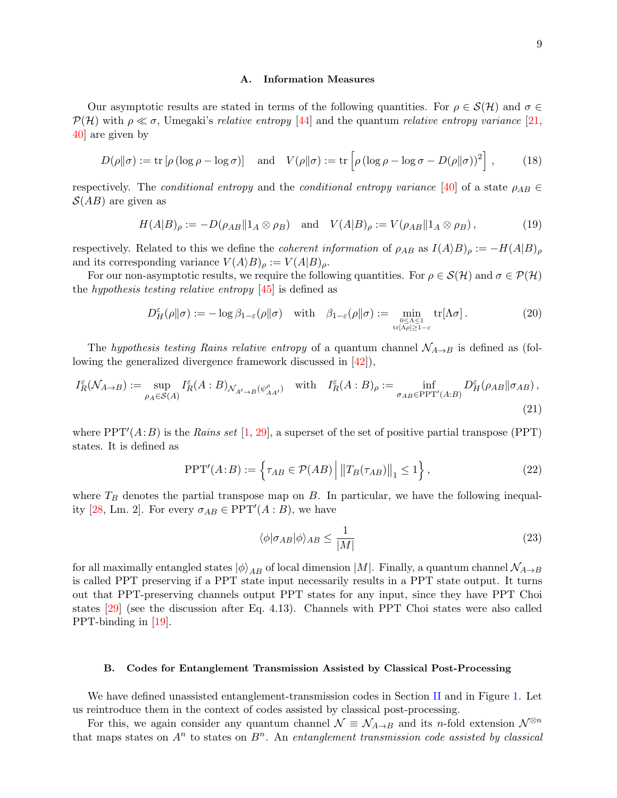### A. Information Measures

Our asymptotic results are stated in terms of the following quantities. For  $\rho \in \mathcal{S}(\mathcal{H})$  and  $\sigma \in$  $\mathcal{P}(\mathcal{H})$  with  $\rho \ll \sigma$ , Umegaki's relative entropy [\[44\]](#page-23-6) and the quantum relative entropy variance [\[21,](#page-22-7) [40\]](#page-23-1) are given by

$$
D(\rho||\sigma) := \text{tr}\left[\rho\left(\log \rho - \log \sigma\right)\right] \quad \text{and} \quad V(\rho||\sigma) := \text{tr}\left[\rho\left(\log \rho - \log \sigma - D(\rho||\sigma)\right)^2\right],\tag{18}
$$

respectively. The *conditional entropy* and the *conditional entropy variance* [\[40\]](#page-23-1) of a state  $\rho_{AB} \in$  $S(AB)$  are given as

$$
H(A|B)_{\rho} := -D(\rho_{AB}||1_A \otimes \rho_B) \quad \text{and} \quad V(A|B)_{\rho} := V(\rho_{AB}||1_A \otimes \rho_B), \tag{19}
$$

respectively. Related to this we define the *coherent information* of  $\rho_{AB}$  as  $I(A \rangle B)_{\rho} := -H(A|B)_{\rho}$ and its corresponding variance  $V(A \rangle B)_{\rho} := V(A|B)_{\rho}$ .

For our non-asymptotic results, we require the following quantities. For  $\rho \in \mathcal{S}(\mathcal{H})$  and  $\sigma \in \mathcal{P}(\mathcal{H})$ the hypothesis testing relative entropy  $[45]$  is defined as

$$
D_H^{\varepsilon}(\rho \| \sigma) := -\log \beta_{1-\varepsilon}(\rho \| \sigma) \quad \text{with} \quad \beta_{1-\varepsilon}(\rho \| \sigma) := \min_{\substack{0 \le \Lambda \le 1 \\ \text{tr}[\Lambda \rho] \ge 1-\varepsilon}} \text{tr}[\Lambda \sigma]. \tag{20}
$$

The hypothesis testing Rains relative entropy of a quantum channel  $\mathcal{N}_{A\rightarrow B}$  is defined as (following the generalized divergence framework discussed in [\[42\]](#page-23-3)),

$$
I_R^{\varepsilon}(\mathcal{N}_{A\to B}) := \sup_{\rho_A \in \mathcal{S}(A)} I_R^{\varepsilon}(A:B)_{\mathcal{N}_{A'\to B}(\psi_{AA'}^{\rho})} \quad \text{with} \quad I_R^{\varepsilon}(A:B)_{\rho} := \inf_{\sigma_{AB} \in \text{PPT}'(A:B)} D_H^{\varepsilon}(\rho_{AB} \|\sigma_{AB}),
$$
\n(21)

where  $PPT'(A:B)$  is the Rains set [\[1,](#page-21-4) [29\]](#page-22-11), a superset of the set of positive partial transpose (PPT) states. It is defined as

$$
PPT'(A:B) := \left\{ \tau_{AB} \in \mathcal{P}(AB) \, \middle| \, \|T_B(\tau_{AB})\|_1 \le 1 \right\},\tag{22}
$$

where  $T_B$  denotes the partial transpose map on B. In particular, we have the following inequal-ity [\[28,](#page-22-17) Lm. 2]. For every  $\sigma_{AB} \in \text{PPT}'(A : B)$ , we have

<span id="page-8-1"></span>
$$
\langle \phi | \sigma_{AB} | \phi \rangle_{AB} \le \frac{1}{|M|} \tag{23}
$$

for all maximally entangled states  $|\phi\rangle_{AB}$  of local dimension  $|M|$ . Finally, a quantum channel  $\mathcal{N}_{A\to B}$ is called PPT preserving if a PPT state input necessarily results in a PPT state output. It turns out that PPT-preserving channels output PPT states for any input, since they have PPT Choi states [\[29\]](#page-22-11) (see the discussion after Eq. 4.13). Channels with PPT Choi states were also called PPT-binding in [\[19\]](#page-22-18).

## <span id="page-8-0"></span>B. Codes for Entanglement Transmission Assisted by Classical Post-Processing

We have defined unassisted entanglement-transmission codes in Section [II](#page-1-0) and in Figure [1.](#page-1-1) Let us reintroduce them in the context of codes assisted by classical post-processing.

For this, we again consider any quantum channel  $\mathcal{N} \equiv \mathcal{N}_{A\to B}$  and its n-fold extension  $\mathcal{N}^{\otimes n}$ that maps states on  $A^n$  to states on  $B^n$ . An entanglement transmission code assisted by classical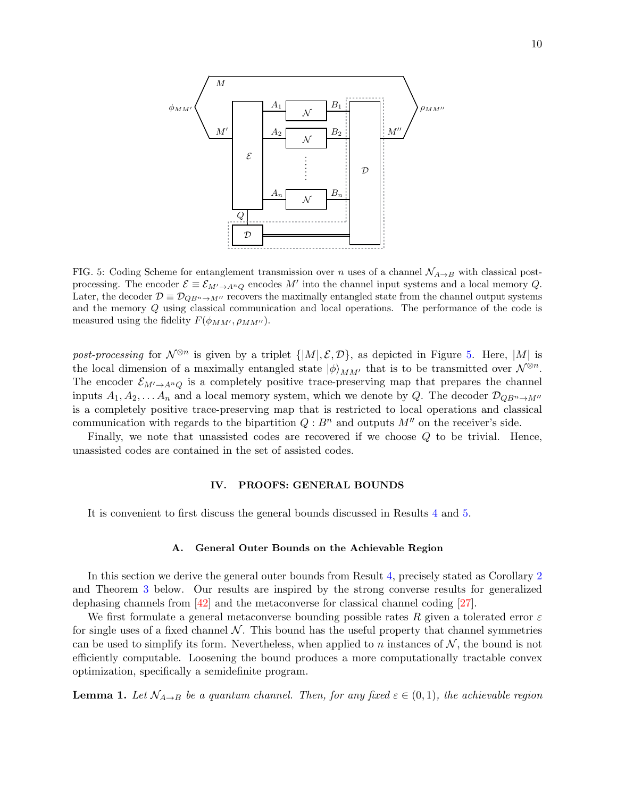

<span id="page-9-1"></span>FIG. 5: Coding Scheme for entanglement transmission over n uses of a channel  $\mathcal{N}_{A\rightarrow B}$  with classical postprocessing. The encoder  $\mathcal{E} \equiv \mathcal{E}_{M' \to A^nQ}$  encodes M' into the channel input systems and a local memory Q. Later, the decoder  $\mathcal{D} \equiv \mathcal{D}_{QB^n \to M''}$  recovers the maximally entangled state from the channel output systems and the memory Q using classical communication and local operations. The performance of the code is measured using the fidelity  $F(\phi_{MM'}, \rho_{MM'})$ .

post-processing for  $\mathcal{N}^{\otimes n}$  is given by a triplet  $\{|M|, \mathcal{E}, \mathcal{D}\}$ , as depicted in Figure [5.](#page-9-1) Here,  $|M|$  is the local dimension of a maximally entangled state  $|\phi\rangle_{MM'}$  that is to be transmitted over  $\mathcal{N}^{\otimes n}$ . The encoder  $\mathcal{E}_{M'\to A^nQ}$  is a completely positive trace-preserving map that prepares the channel inputs  $A_1, A_2, \ldots, A_n$  and a local memory system, which we denote by Q. The decoder  $\mathcal{D}_{QB^n \to M''}$ is a completely positive trace-preserving map that is restricted to local operations and classical communication with regards to the bipartition  $Q : B<sup>n</sup>$  and outputs  $M''$  on the receiver's side.

Finally, we note that unassisted codes are recovered if we choose Q to be trivial. Hence, unassisted codes are contained in the set of assisted codes.

### IV. PROOFS: GENERAL BOUNDS

It is convenient to first discuss the general bounds discussed in Results [4](#page-6-2) and [5.](#page-7-1)

### <span id="page-9-0"></span>A. General Outer Bounds on the Achievable Region

In this section we derive the general outer bounds from Result [4,](#page-6-2) precisely stated as Corollary [2](#page-11-0) and Theorem [3](#page-12-1) below. Our results are inspired by the strong converse results for generalized dephasing channels from [\[42\]](#page-23-3) and the metaconverse for classical channel coding [\[27\]](#page-22-6).

We first formulate a general metaconverse bounding possible rates R given a tolerated error  $\varepsilon$ for single uses of a fixed channel  $\mathcal N$ . This bound has the useful property that channel symmetries can be used to simplify its form. Nevertheless, when applied to n instances of  $N$ , the bound is not efficiently computable. Loosening the bound produces a more computationally tractable convex optimization, specifically a semidefinite program.

<span id="page-9-2"></span>**Lemma 1.** Let  $N_{A\rightarrow B}$  be a quantum channel. Then, for any fixed  $\varepsilon \in (0,1)$ , the achievable region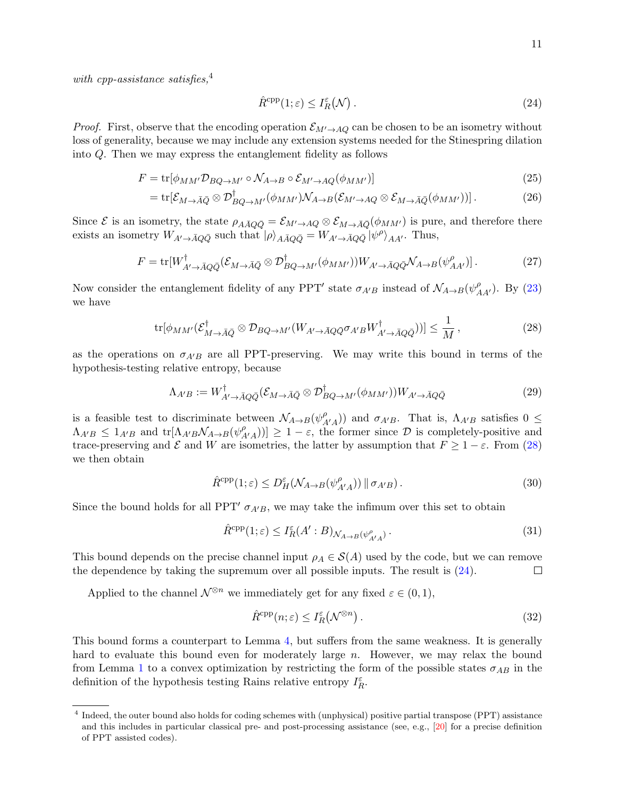with cpp-assistance satisfies, $4$ 

<span id="page-10-1"></span><span id="page-10-0"></span>
$$
\hat{R}^{\text{cpp}}(1;\varepsilon) \le I_R^{\varepsilon}(\mathcal{N})\,. \tag{24}
$$

*Proof.* First, observe that the encoding operation  $\mathcal{E}_{M'\to AQ}$  can be chosen to be an isometry without loss of generality, because we may include any extension systems needed for the Stinespring dilation into Q. Then we may express the entanglement fidelity as follows

$$
F = \text{tr}[\phi_{MM'} \mathcal{D}_{BQ \to M'} \circ \mathcal{N}_{A \to B} \circ \mathcal{E}_{M' \to AQ}(\phi_{MM'})]
$$
\n
$$
(25)
$$

$$
= \text{tr}[\mathcal{E}_{M \to \bar{A}\bar{Q}} \otimes \mathcal{D}_{BQ \to M'}^{\dagger}(\phi_{MM'}) \mathcal{N}_{A \to B}(\mathcal{E}_{M' \to AQ} \otimes \mathcal{E}_{M \to \bar{A}\bar{Q}}(\phi_{MM'}))]. \tag{26}
$$

Since  $\mathcal E$  is an isometry, the state  $\rho_{A\bar A Q\bar Q} = \mathcal E_{M'\to A Q} \otimes \mathcal E_{M\to \bar A \bar Q}(\phi_{M M'})$  is pure, and therefore there exists an isometry  $W_{A'\to\bar{A}Q\bar{Q}}$  such that  $|\rho\rangle_{A\bar{A}Q\bar{Q}} = W_{A'\to\bar{A}Q\bar{Q}} |\psi^{\rho}\rangle_{AA'}$ . Thus,

$$
F = \text{tr}[W_{A' \to \bar{A}Q\bar{Q}}^{\dagger}(\mathcal{E}_{M \to \bar{A}\bar{Q}} \otimes \mathcal{D}_{BQ \to M'}^{\dagger}(\phi_{MM'}))W_{A' \to \bar{A}Q\bar{Q}}\mathcal{N}_{A \to B}(\psi_{AA'}^{\rho})]. \tag{27}
$$

Now consider the entanglement fidelity of any PPT' state  $\sigma_{A'B}$  instead of  $\mathcal{N}_{A\to B}(\psi^{\rho}_{AA'})$ . By [\(23\)](#page-8-1) we have

$$
\text{tr}[\phi_{MM'}(\mathcal{E}_{M\to \bar{A}\bar{Q}}^{\dagger} \otimes \mathcal{D}_{BQ\to M'}(W_{A'\to \bar{A}Q\bar{Q}}\sigma_{A'B}W_{A'\to \bar{A}Q\bar{Q}}^{\dagger}))] \leq \frac{1}{M},\tag{28}
$$

as the operations on  $\sigma_{A'B}$  are all PPT-preserving. We may write this bound in terms of the hypothesis-testing relative entropy, because

$$
\Lambda_{A'B} := W^{\dagger}_{A' \to \bar{A}Q\bar{Q}} (\mathcal{E}_{M \to \bar{A}\bar{Q}} \otimes \mathcal{D}^{\dagger}_{BQ \to M'} (\phi_{MM'})) W_{A' \to \bar{A}Q\bar{Q}}
$$
(29)

is a feasible test to discriminate between  $\mathcal{N}_{A\rightarrow B}(\psi_A^{\rho})$  $\binom{\rho}{A'A}$ ) and  $\sigma_{A'B}$ . That is,  $\Lambda_{A'B}$  satisfies  $0 \leq$  $\Lambda_{A'B} \leq 1_{A'B}$  and  $\text{tr}[\Lambda_{A'B} \mathcal{N}_{A\rightarrow B}(\psi_A^{\rho})]$  $\begin{bmatrix} \rho \\ A'(A) \end{bmatrix} \geq 1 - \varepsilon$ , the former since  $\mathcal{D}$  is completely-positive and trace-preserving and  $\mathcal E$  and W are isometries, the latter by assumption that  $F \geq 1-\varepsilon$ . From [\(28\)](#page-10-0) we then obtain

$$
\hat{R}^{\text{cpp}}(1;\varepsilon) \le D^{\varepsilon}_H(\mathcal{N}_{A \to B}(\psi^{\rho}_{A'A})) \|\sigma_{A'B})\,. \tag{30}
$$

Since the bound holds for all PPT'  $\sigma_{A'B}$ , we may take the infimum over this set to obtain

$$
\hat{R}^{\text{cpp}}(1;\varepsilon) \le I_R^{\varepsilon}(A':B)_{\mathcal{N}_{A\to B}(\psi_{A'A}^{\rho})}.
$$
\n(31)

This bound depends on the precise channel input  $\rho_A \in S(A)$  used by the code, but we can remove the dependence by taking the supremum over all possible inputs. The result is [\(24\)](#page-10-1).  $\Box$ 

Applied to the channel  $\mathcal{N}^{\otimes n}$  we immediately get for any fixed  $\varepsilon \in (0,1)$ ,

$$
\hat{R}^{\text{cpp}}(n;\varepsilon) \le I_R^{\varepsilon}(\mathcal{N}^{\otimes n})\,. \tag{32}
$$

This bound forms a counterpart to Lemma [4,](#page-12-2) but suffers from the same weakness. It is generally hard to evaluate this bound even for moderately large n. However, we may relax the bound from Lemma [1](#page-9-2) to a convex optimization by restricting the form of the possible states  $\sigma_{AB}$  in the definition of the hypothesis testing Rains relative entropy  $I_R^\varepsilon.$ 

<sup>&</sup>lt;sup>4</sup> Indeed, the outer bound also holds for coding schemes with (unphysical) positive partial transpose (PPT) assistance and this includes in particular classical pre- and post-processing assistance (see, e.g., [\[20\]](#page-22-15) for a precise definition of PPT assisted codes).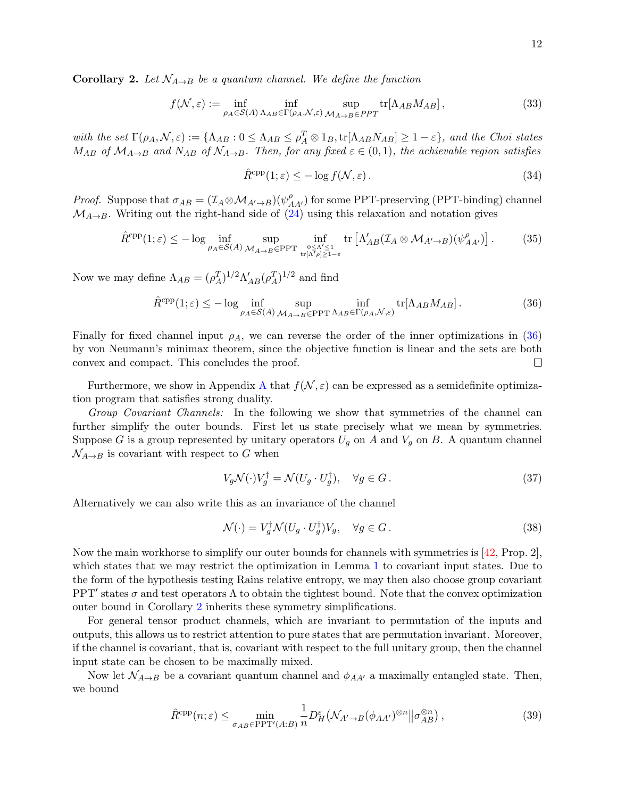<span id="page-11-0"></span>**Corollary 2.** Let  $\mathcal{N}_{A\rightarrow B}$  be a quantum channel. We define the function

$$
f(\mathcal{N}, \varepsilon) := \inf_{\rho_A \in \mathcal{S}(A)} \inf_{\Lambda_{AB} \in \Gamma(\rho_A, \mathcal{N}, \varepsilon)} \sup_{\mathcal{M}_{A \to B} \in PPT} \text{tr}[\Lambda_{AB} M_{AB}], \tag{33}
$$

with the set  $\Gamma(\rho_A, \mathcal{N}, \varepsilon) := {\Lambda_{AB} : 0 \leq \Lambda_{AB} \leq \rho_A^T \otimes 1_B}, \text{tr}[\Lambda_{AB}N_{AB}] \geq 1 - \varepsilon}$ , and the Choi states  $M_{AB}$  of  $\mathcal{M}_{A\rightarrow B}$  and  $N_{AB}$  of  $\mathcal{N}_{A\rightarrow B}$ . Then, for any fixed  $\varepsilon \in (0,1)$ , the achievable region satisfies

<span id="page-11-3"></span><span id="page-11-1"></span>
$$
\hat{R}^{\text{cpp}}(1;\varepsilon) \le -\log f(\mathcal{N}, \varepsilon). \tag{34}
$$

*Proof.* Suppose that  $\sigma_{AB} = (\mathcal{I}_A \otimes \mathcal{M}_{A'\to B})(\psi^{\rho}_{AA'})$  for some PPT-preserving (PPT-binding) channel  $\mathcal{M}_{A\rightarrow B}$ . Writing out the right-hand side of [\(24\)](#page-10-1) using this relaxation and notation gives

$$
\hat{R}^{\text{cpp}}(1;\varepsilon) \le -\log \inf_{\rho_A \in \mathcal{S}(A)} \sup_{\mathcal{M}_{A \to B} \in \text{PPT}} \inf_{0 \le \Lambda' \le 1 \atop \text{tr}[{\Lambda'}_{\rho}] \ge 1-\varepsilon} \text{tr}\left[\Lambda'_{AB}(\mathcal{I}_A \otimes \mathcal{M}_{A' \to B})(\psi^{\rho}_{AA'})\right].
$$
 (35)

Now we may define  $\Lambda_{AB} = (\rho_A^T)^{1/2} \Lambda'_{AB} (\rho_A^T)^{1/2}$  and find

$$
\hat{R}^{\text{cpp}}(1;\varepsilon) \le -\log \inf_{\rho_A \in \mathcal{S}(A)} \sup_{\mathcal{M}_{A\to B} \in \text{PPT}\,\Lambda_{AB} \in \Gamma(\rho_A, \mathcal{N}, \varepsilon)} \text{tr}[\Lambda_{AB} M_{AB}].\tag{36}
$$

Finally for fixed channel input  $\rho_A$ , we can reverse the order of the inner optimizations in [\(36\)](#page-11-1) by von Neumann's minimax theorem, since the objective function is linear and the sets are both convex and compact. This concludes the proof.  $\Box$ 

Furthermore, we show in [A](#page-19-0)ppendix A that  $f(\mathcal{N}, \varepsilon)$  can be expressed as a semidefinite optimization program that satisfies strong duality.

Group Covariant Channels: In the following we show that symmetries of the channel can further simplify the outer bounds. First let us state precisely what we mean by symmetries. Suppose G is a group represented by unitary operators  $U_g$  on A and  $V_g$  on B. A quantum channel  $\mathcal{N}_{A\rightarrow B}$  is covariant with respect to G when

$$
V_g \mathcal{N}(\cdot) V_g^{\dagger} = \mathcal{N}(U_g \cdot U_g^{\dagger}), \quad \forall g \in G.
$$
\n
$$
(37)
$$

Alternatively we can also write this as an invariance of the channel

<span id="page-11-2"></span>
$$
\mathcal{N}(\cdot) = V_g^{\dagger} \mathcal{N}(U_g \cdot U_g^{\dagger}) V_g, \quad \forall g \in G.
$$
\n(38)

Now the main workhorse to simplify our outer bounds for channels with symmetries is [\[42,](#page-23-3) Prop. 2], which states that we may restrict the optimization in Lemma [1](#page-9-2) to covariant input states. Due to the form of the hypothesis testing Rains relative entropy, we may then also choose group covariant PPT' states  $\sigma$  and test operators  $\Lambda$  to obtain the tightest bound. Note that the convex optimization outer bound in Corollary [2](#page-11-0) inherits these symmetry simplifications.

For general tensor product channels, which are invariant to permutation of the inputs and outputs, this allows us to restrict attention to pure states that are permutation invariant. Moreover, if the channel is covariant, that is, covariant with respect to the full unitary group, then the channel input state can be chosen to be maximally mixed.

Now let  $\mathcal{N}_{A\rightarrow B}$  be a covariant quantum channel and  $\phi_{AA'}$  a maximally entangled state. Then, we bound

$$
\hat{R}^{\text{cpp}}(n;\varepsilon) \le \min_{\sigma_{AB} \in \text{PPT}'(A:B)} \frac{1}{n} D_H^{\varepsilon} \left( \mathcal{N}_{A' \to B} (\phi_{AA'})^{\otimes n} \middle\| \sigma_{AB}^{\otimes n} \right),\tag{39}
$$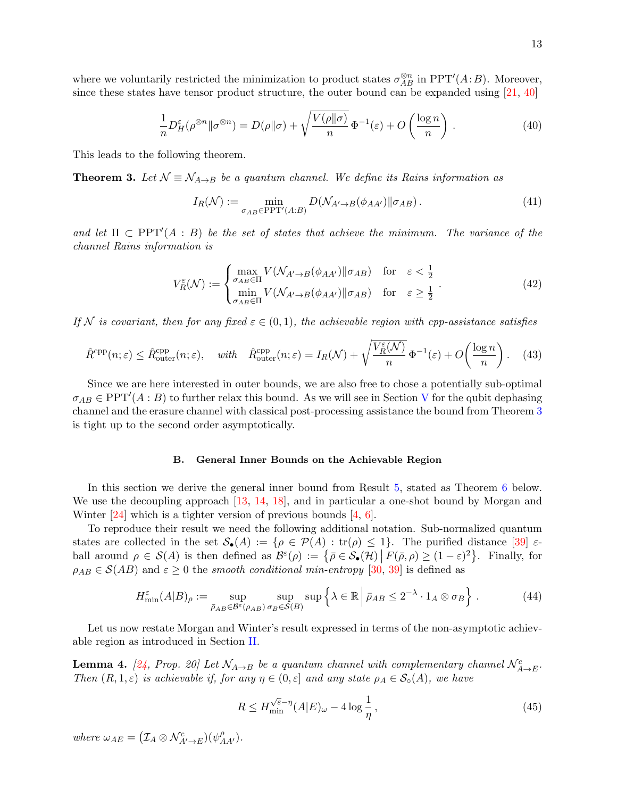where we voluntarily restricted the minimization to product states  $\sigma_{AB}^{\otimes n}$  in PPT'(A:B). Moreover, since these states have tensor product structure, the outer bound can be expanded using  $[21, 40]$  $[21, 40]$ 

$$
\frac{1}{n}D_H^{\varepsilon}(\rho^{\otimes n}||\sigma^{\otimes n}) = D(\rho||\sigma) + \sqrt{\frac{V(\rho||\sigma)}{n}}\Phi^{-1}(\varepsilon) + O\left(\frac{\log n}{n}\right). \tag{40}
$$

This leads to the following theorem.

<span id="page-12-1"></span>**Theorem 3.** Let  $\mathcal{N} \equiv \mathcal{N}_{A\rightarrow B}$  be a quantum channel. We define its Rains information as

<span id="page-12-3"></span>
$$
I_R(\mathcal{N}) := \min_{\sigma_{AB} \in \text{PPT}'(A:B)} D(\mathcal{N}_{A' \to B}(\phi_{AA'}) || \sigma_{AB}). \tag{41}
$$

and let  $\Pi \subset \text{PPT}'(A : B)$  be the set of states that achieve the minimum. The variance of the channel Rains information is

$$
V_R^{\varepsilon}(\mathcal{N}) := \begin{cases} \max_{\sigma_{AB} \in \Pi} V(\mathcal{N}_{A' \to B}(\phi_{AA'}) \|\sigma_{AB}) & \text{for } \varepsilon < \frac{1}{2} \\ \min_{\sigma_{AB} \in \Pi} V(\mathcal{N}_{A' \to B}(\phi_{AA'}) \|\sigma_{AB}) & \text{for } \varepsilon \geq \frac{1}{2} \end{cases} \tag{42}
$$

If N is covariant, then for any fixed  $\varepsilon \in (0,1)$ , the achievable region with cpp-assistance satisfies

$$
\hat{R}^{\text{cpp}}(n;\varepsilon) \le \hat{R}_{\text{outer}}^{\text{cpp}}(n;\varepsilon), \quad \text{with} \quad \hat{R}_{\text{outer}}^{\text{cpp}}(n;\varepsilon) = I_R(\mathcal{N}) + \sqrt{\frac{V_R^{\varepsilon}(\mathcal{N})}{n}} \Phi^{-1}(\varepsilon) + O\left(\frac{\log n}{n}\right). \tag{43}
$$

Since we are here interested in outer bounds, we are also free to chose a potentially sub-optimal  $\sigma_{AB} \in \text{PPT}'(A : B)$  to further relax this bound. As we will see in Section [V](#page-14-0) for the qubit dephasing channel and the erasure channel with classical post-processing assistance the bound from Theorem [3](#page-12-1) is tight up to the second order asymptotically.

# <span id="page-12-0"></span>B. General Inner Bounds on the Achievable Region

In this section we derive the general inner bound from Result [5,](#page-7-1) stated as Theorem [6](#page-13-0) below. We use the decoupling approach [\[13,](#page-22-19) [14,](#page-22-20) [18\]](#page-22-21), and in particular a one-shot bound by Morgan and Winter [\[24\]](#page-22-16) which is a tighter version of previous bounds [\[4,](#page-21-5) [6\]](#page-21-6).

To reproduce their result we need the following additional notation. Sub-normalized quantum states are collected in the set  $\mathcal{S}_{\bullet}(A) := \{ \rho \in \mathcal{P}(A) : \text{tr}(\rho) \leq 1 \}.$  The purified distance  $[39] \in \mathcal{S}_{\bullet}(A)$ ball around  $\rho \in \mathcal{S}(A)$  is then defined as  $\mathcal{B}^{\varepsilon}(\rho) := \{ \bar{\rho} \in \mathcal{S}_{\bullet}(\mathcal{H}) \mid F(\bar{\rho}, \rho) \geq (1 - \varepsilon)^2 \}$ . Finally, for  $\rho_{AB} \in \mathcal{S}(AB)$  and  $\varepsilon \geq 0$  the smooth conditional min-entropy [\[30,](#page-22-22) [39\]](#page-23-8) is defined as

$$
H_{\min}^{\varepsilon}(A|B)_{\rho} := \sup_{\bar{\rho}_{AB} \in \mathcal{B}^{\varepsilon}(\rho_{AB})} \sup_{\sigma_B \in \mathcal{S}(B)} \sup \left\{ \lambda \in \mathbb{R} \, \Big| \, \bar{\rho}_{AB} \leq 2^{-\lambda} \cdot 1_A \otimes \sigma_B \right\} \,. \tag{44}
$$

Let us now restate Morgan and Winter's result expressed in terms of the non-asymptotic achievable region as introduced in Section [II.](#page-1-0)

<span id="page-12-2"></span>**Lemma 4.** [\[24,](#page-22-16) Prop. 20] Let  $\mathcal{N}_{A\rightarrow B}$  be a quantum channel with complementary channel  $\mathcal{N}_{A\rightarrow E}^c$ . Then  $(R, 1, \varepsilon)$  is achievable if, for any  $\eta \in (0, \varepsilon]$  and any state  $\rho_A \in \mathcal{S}_{\circ}(A)$ , we have

$$
R \le H_{\min}^{\sqrt{\varepsilon} - \eta} (A|E)_{\omega} - 4 \log \frac{1}{\eta}, \qquad (45)
$$

where  $\omega_{AE} = (\mathcal{I}_A \otimes \mathcal{N}_{A' \to E}^c)(\psi_{AA'}^\rho)$ .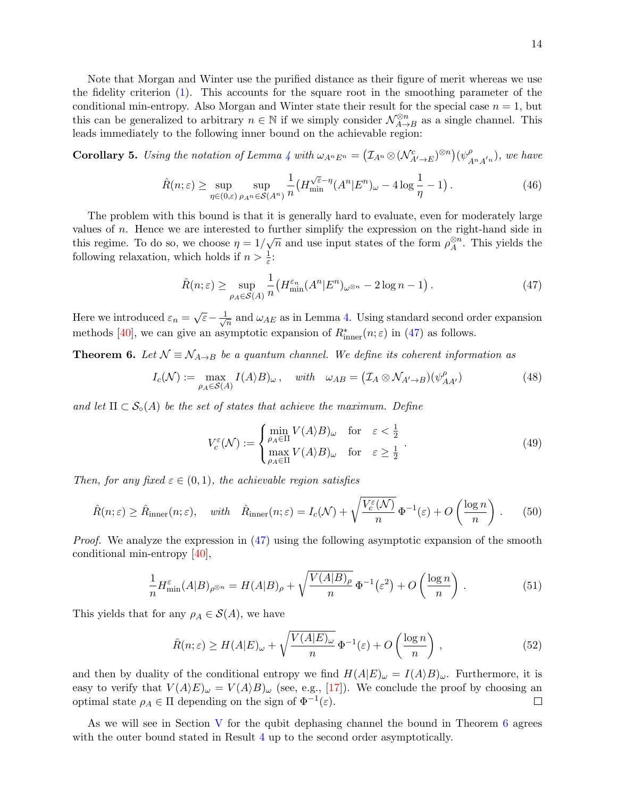Note that Morgan and Winter use the purified distance as their figure of merit whereas we use the fidelity criterion [\(1\)](#page-1-2). This accounts for the square root in the smoothing parameter of the conditional min-entropy. Also Morgan and Winter state their result for the special case  $n = 1$ , but this can be generalized to arbitrary  $n \in \mathbb{N}$  if we simply consider  $\mathcal{N}_{A \rightarrow A}^{\otimes n}$  $\mathbb{Z}_{A\to B}^n$  as a single channel. This leads immediately to the following inner bound on the achievable region:

**Corollary 5.** Using the notation of Lemma [4](#page-12-2) with  $\omega_{A^n E^n} = (\mathcal{I}_{A^n} \otimes (\mathcal{N}_{A' \to E}^c)^{\otimes n})(\psi^{\rho}_A)$  $_{A<sup>n</sup>A<sup>'n</sup>}^{P}$ ), we have

$$
\hat{R}(n;\varepsilon) \ge \sup_{\eta \in (0,\varepsilon)} \sup_{\rho_{A^n} \in \mathcal{S}(A^n)} \frac{1}{n} \left( H_{\min}^{\sqrt{\varepsilon} - \eta} (A^n | E^n)_{\omega} - 4 \log \frac{1}{\eta} - 1 \right). \tag{46}
$$

The problem with this bound is that it is generally hard to evaluate, even for moderately large values of n. Hence we are interested to further simplify the expression on the right-hand side in this regime. To do so, we choose  $\eta = 1/\sqrt{n}$  and use input states of the form  $\rho_A^{\otimes n}$  $_{A}^{\otimes n}$ . This yields the following relaxation, which holds if  $n > \frac{1}{\varepsilon}$ :

<span id="page-13-1"></span>
$$
\hat{R}(n;\varepsilon) \ge \sup_{\rho_A \in \mathcal{S}(A)} \frac{1}{n} \left( H_{\min}^{\varepsilon_n} (A^n | E^n)_{\omega^{\otimes n}} - 2 \log n - 1 \right). \tag{47}
$$

Here we introduced  $\varepsilon_n = \sqrt{\varepsilon} - \frac{1}{\sqrt{\varepsilon}}$  $\frac{1}{n}$  and  $\omega_{AE}$  as in Lemma [4.](#page-12-2) Using standard second order expansion methods [\[40\]](#page-23-1), we can give an asymptotic expansion of  $R^*_{\text{inner}}(n;\varepsilon)$  in [\(47\)](#page-13-1) as follows.

<span id="page-13-0"></span>**Theorem 6.** Let  $\mathcal{N} \equiv \mathcal{N}_{A\rightarrow B}$  be a quantum channel. We define its coherent information as

$$
I_c(\mathcal{N}) := \max_{\rho_A \in \mathcal{S}(A)} I(A \rangle B)_{\omega}, \quad \text{with} \quad \omega_{AB} = (I_A \otimes \mathcal{N}_{A' \to B})(\psi_{AA'}^{\rho}) \tag{48}
$$

and let  $\Pi \subset \mathcal{S}_{\circ}(A)$  be the set of states that achieve the maximum. Define

$$
V_c^{\varepsilon}(\mathcal{N}) := \begin{cases} \min_{\rho_A \in \Pi} V(A \rangle B)_{\omega} & \text{for } \varepsilon < \frac{1}{2} \\ \max_{\rho_A \in \Pi} V(A \rangle B)_{\omega} & \text{for } \varepsilon \ge \frac{1}{2} \end{cases} . \tag{49}
$$

Then, for any fixed  $\varepsilon \in (0,1)$ , the achievable region satisfies

$$
\hat{R}(n;\varepsilon) \ge \hat{R}_{\text{inner}}(n;\varepsilon), \quad \text{with} \quad \hat{R}_{\text{inner}}(n;\varepsilon) = I_c(\mathcal{N}) + \sqrt{\frac{V_c^{\varepsilon}(\mathcal{N})}{n}} \Phi^{-1}(\varepsilon) + O\left(\frac{\log n}{n}\right). \tag{50}
$$

Proof. We analyze the expression in  $(47)$  using the following asymptotic expansion of the smooth conditional min-entropy [\[40\]](#page-23-1),

$$
\frac{1}{n} H_{\min}^{\varepsilon}(A|B)_{\rho^{\otimes n}} = H(A|B)_{\rho} + \sqrt{\frac{V(A|B)_{\rho}}{n}} \Phi^{-1}(\varepsilon^2) + O\left(\frac{\log n}{n}\right). \tag{51}
$$

This yields that for any  $\rho_A \in \mathcal{S}(A)$ , we have

$$
\hat{R}(n;\varepsilon) \ge H(A|E)_{\omega} + \sqrt{\frac{V(A|E)_{\omega}}{n}} \Phi^{-1}(\varepsilon) + O\left(\frac{\log n}{n}\right),\tag{52}
$$

and then by duality of the conditional entropy we find  $H(A|E)_{\omega} = I(A|B)_{\omega}$ . Furthermore, it is easy to verify that  $V(A \rangle E)_{\omega} = V(A \rangle B)_{\omega}$  (see, e.g., [\[17\]](#page-22-23)). We conclude the proof by choosing an optimal state  $\rho_A \in \Pi$  depending on the sign of  $\Phi^{-1}(\varepsilon)$ .  $\Box$ 

As we will see in Section [V](#page-14-0) for the qubit dephasing channel the bound in Theorem [6](#page-13-0) agrees with the outer bound stated in Result [4](#page-6-2) up to the second order asymptotically.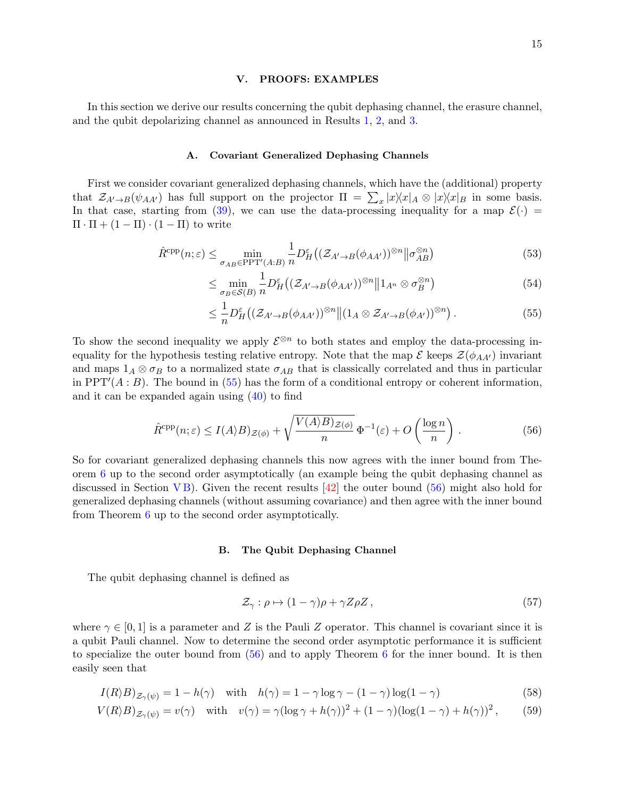### <span id="page-14-0"></span>V. PROOFS: EXAMPLES

In this section we derive our results concerning the qubit dephasing channel, the erasure channel, and the qubit depolarizing channel as announced in Results [1,](#page-3-0) [2,](#page-5-0) and [3.](#page-6-0)

# A. Covariant Generalized Dephasing Channels

First we consider covariant generalized dephasing channels, which have the (additional) property that  $\mathcal{Z}_{A'\to B}(\psi_{AA'})$  has full support on the projector  $\Pi = \sum_x |x\rangle\langle x|_A \otimes |x\rangle\langle x|_B$  in some basis. In that case, starting from [\(39\)](#page-11-2), we can use the data-processing inequality for a map  $\mathcal{E}(\cdot)$  =  $\Pi \cdot \Pi + (1 - \Pi) \cdot (1 - \Pi)$  to write

$$
\hat{R}^{\text{cpp}}(n;\varepsilon) \le \min_{\sigma_{AB} \in \text{PPT}'(A:B)} \frac{1}{n} D_H^{\varepsilon} \big( (\mathcal{Z}_{A' \to B}(\phi_{AA'})^{\otimes n} \big) \big| \sigma_{AB}^{\otimes n} \big) \tag{53}
$$

$$
\leq \min_{\sigma_B \in \mathcal{S}(B)} \frac{1}{n} D_H^{\varepsilon} \big( (\mathcal{Z}_{A' \to B}(\phi_{AA'})^{\otimes n} \big) \| 1_{A^n} \otimes \sigma_B^{\otimes n} \big) \tag{54}
$$

<span id="page-14-1"></span>
$$
\leq \frac{1}{n} D_H^{\varepsilon} \big( (\mathcal{Z}_{A' \to B}(\phi_{AA'})^{\otimes n} \big) \big( 1_A \otimes \mathcal{Z}_{A' \to B}(\phi_{A'})^{\otimes n} \big) \,. \tag{55}
$$

To show the second inequality we apply  $\mathcal{E}^{\otimes n}$  to both states and employ the data-processing inequality for the hypothesis testing relative entropy. Note that the map  $\mathcal E$  keeps  $\mathcal Z(\phi_{AA'})$  invariant and maps  $1_A \otimes \sigma_B$  to a normalized state  $\sigma_{AB}$  that is classically correlated and thus in particular in PPT'( $A : B$ ). The bound in [\(55\)](#page-14-1) has the form of a conditional entropy or coherent information, and it can be expanded again using [\(40\)](#page-12-3) to find

$$
\hat{R}^{\text{cpp}}(n;\varepsilon) \le I(A \rangle B)_{\mathcal{Z}(\phi)} + \sqrt{\frac{V(A \rangle B)_{\mathcal{Z}(\phi)}}{n}} \Phi^{-1}(\varepsilon) + O\left(\frac{\log n}{n}\right). \tag{56}
$$

So for covariant generalized dephasing channels this now agrees with the inner bound from Theorem [6](#page-13-0) up to the second order asymptotically (an example being the qubit dephasing channel as discussed in Section [V B\)](#page-14-2). Given the recent results  $[42]$  the outer bound [\(56\)](#page-14-3) might also hold for generalized dephasing channels (without assuming covariance) and then agree with the inner bound from Theorem [6](#page-13-0) up to the second order asymptotically.

# <span id="page-14-3"></span><span id="page-14-2"></span>B. The Qubit Dephasing Channel

The qubit dephasing channel is defined as

$$
\mathcal{Z}_{\gamma} : \rho \mapsto (1 - \gamma)\rho + \gamma Z \rho Z , \qquad (57)
$$

where  $\gamma \in [0, 1]$  is a parameter and Z is the Pauli Z operator. This channel is covariant since it is a qubit Pauli channel. Now to determine the second order asymptotic performance it is sufficient to specialize the outer bound from  $(56)$  $(56)$  $(56)$  and to apply Theorem 6 for the inner bound. It is then easily seen that

$$
I(R \rangle B)_{\mathcal{Z}_{\gamma}(\psi)} = 1 - h(\gamma) \quad \text{with} \quad h(\gamma) = 1 - \gamma \log \gamma - (1 - \gamma) \log(1 - \gamma) \tag{58}
$$

$$
V(R \rangle B)_{\mathcal{Z}_{\gamma}(\psi)} = v(\gamma) \quad \text{with} \quad v(\gamma) = \gamma (\log \gamma + h(\gamma))^2 + (1 - \gamma)(\log(1 - \gamma) + h(\gamma))^2, \tag{59}
$$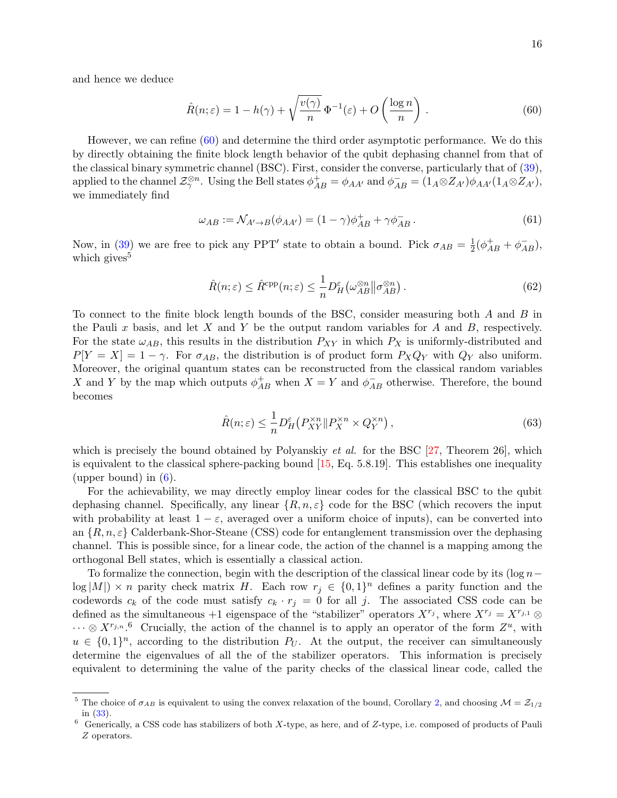and hence we deduce

<span id="page-15-0"></span>
$$
\hat{R}(n;\varepsilon) = 1 - h(\gamma) + \sqrt{\frac{v(\gamma)}{n}} \Phi^{-1}(\varepsilon) + O\left(\frac{\log n}{n}\right). \tag{60}
$$

However, we can refine [\(60\)](#page-15-0) and determine the third order asymptotic performance. We do this by directly obtaining the finite block length behavior of the qubit dephasing channel from that of the classical binary symmetric channel (BSC). First, consider the converse, particularly that of [\(39\)](#page-11-2), applied to the channel  $\mathcal{Z}_{\gamma}^{\otimes n}$ . Using the Bell states  $\phi_{AB}^{+} = \phi_{AA'}$  and  $\phi_{AB}^{-} = (1_A \otimes Z_{A'})\phi_{AA'}(1_A \otimes Z_{A'})$ , we immediately find

$$
\omega_{AB} := \mathcal{N}_{A' \to B}(\phi_{AA'}) = (1 - \gamma)\phi_{AB}^+ + \gamma\phi_{AB}^-.
$$
\n(61)

Now, in [\(39\)](#page-11-2) we are free to pick any PPT' state to obtain a bound. Pick  $\sigma_{AB} = \frac{1}{2}$  $\frac{1}{2}(\phi_{AB}^{+} + \phi_{AB}^{-}),$ which gives<sup>5</sup>

$$
\hat{R}(n; \varepsilon) \le \hat{R}^{\text{cpp}}(n; \varepsilon) \le \frac{1}{n} D_H^{\varepsilon} \left( \omega_{AB}^{\otimes n} \middle| \sigma_{AB}^{\otimes n} \right). \tag{62}
$$

To connect to the finite block length bounds of the BSC, consider measuring both A and B in the Pauli x basis, and let X and Y be the output random variables for A and B, respectively. For the state  $\omega_{AB}$ , this results in the distribution  $P_{XY}$  in which  $P_X$  is uniformly-distributed and  $P[Y = X] = 1 - \gamma$ . For  $\sigma_{AB}$ , the distribution is of product form  $P_X Q_Y$  with  $Q_Y$  also uniform. Moreover, the original quantum states can be reconstructed from the classical random variables X and Y by the map which outputs  $\phi_{AB}^+$  when  $X = Y$  and  $\phi_{AB}^-$  otherwise. Therefore, the bound becomes

$$
\hat{R}(n;\varepsilon) \le \frac{1}{n} D_H^{\varepsilon} \left( P_{XY}^{\times n} \| P_X^{\times n} \times Q_Y^{\times n} \right),\tag{63}
$$

which is precisely the bound obtained by Polyanskiy *et al.* for the BSC  $[27,$  Theorem 26, which is equivalent to the classical sphere-packing bound [\[15,](#page-22-24) Eq. 5.8.19]. This establishes one inequality (upper bound) in  $(6)$ .

For the achievability, we may directly employ linear codes for the classical BSC to the qubit dephasing channel. Specifically, any linear  $\{R, n, \varepsilon\}$  code for the BSC (which recovers the input with probability at least  $1 - \varepsilon$ , averaged over a uniform choice of inputs), can be converted into an  $\{R, n, \varepsilon\}$  Calderbank-Shor-Steane (CSS) code for entanglement transmission over the dephasing channel. This is possible since, for a linear code, the action of the channel is a mapping among the orthogonal Bell states, which is essentially a classical action.

To formalize the connection, begin with the description of the classical linear code by its (log  $n \log|M|$  × n parity check matrix H. Each row  $r_j \in \{0,1\}^n$  defines a parity function and the codewords  $c_k$  of the code must satisfy  $c_k \cdot r_j = 0$  for all j. The associated CSS code can be defined as the simultaneous +1 eigenspace of the "stabilizer" operators  $X^{r_j}$ , where  $X^{r_j} = X^{r_{j,1}} \otimes$  $\cdots \otimes X^{r_{j,n}}$ .<sup>6</sup> Crucially, the action of the channel is to apply an operator of the form  $Z^u$ , with  $u \in \{0,1\}^n$ , according to the distribution  $P_U$ . At the output, the receiver can simultaneously determine the eigenvalues of all the of the stabilizer operators. This information is precisely equivalent to determining the value of the parity checks of the classical linear code, called the

<sup>&</sup>lt;sup>5</sup> The choice of  $\sigma_{AB}$  is equivalent to using the convex relaxation of the bound, Corollary [2,](#page-11-0) and choosing  $\mathcal{M} = \mathcal{Z}_{1/2}$ in [\(33\)](#page-11-3).

 $6$  Generically, a CSS code has stabilizers of both X-type, as here, and of Z-type, i.e. composed of products of Pauli Z operators.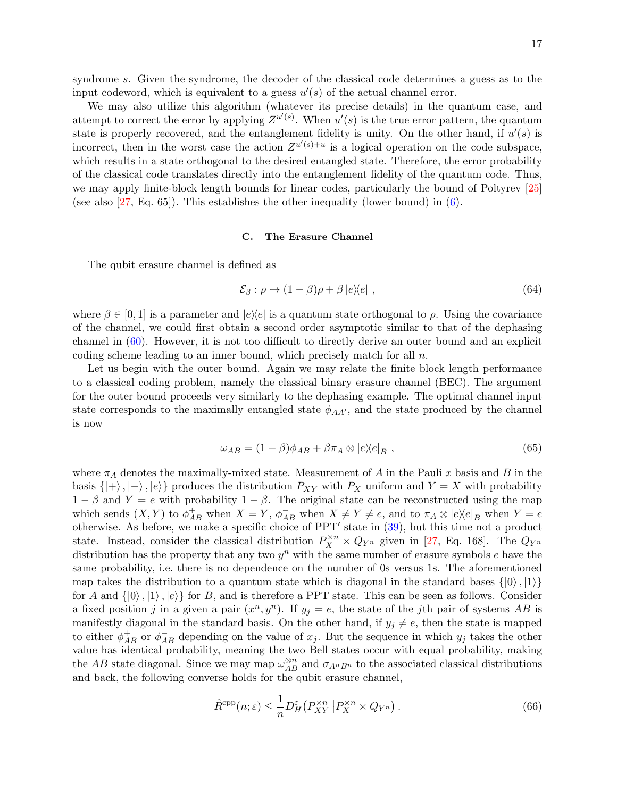syndrome s. Given the syndrome, the decoder of the classical code determines a guess as to the input codeword, which is equivalent to a guess  $u'(s)$  of the actual channel error.

We may also utilize this algorithm (whatever its precise details) in the quantum case, and attempt to correct the error by applying  $Z^{u'(s)}$ . When  $u'(s)$  is the true error pattern, the quantum state is properly recovered, and the entanglement fidelity is unity. On the other hand, if  $u'(s)$  is incorrect, then in the worst case the action  $Z^{u'(s)+u}$  is a logical operation on the code subspace, which results in a state orthogonal to the desired entangled state. Therefore, the error probability of the classical code translates directly into the entanglement fidelity of the quantum code. Thus, we may apply finite-block length bounds for linear codes, particularly the bound of Poltyrev [\[25\]](#page-22-25) (see also [\[27,](#page-22-6) Eq. 65]). This establishes the other inequality (lower bound) in [\(6\)](#page-3-1).

### C. The Erasure Channel

The qubit erasure channel is defined as

$$
\mathcal{E}_{\beta} : \rho \mapsto (1 - \beta)\rho + \beta |e\rangle\langle e| \tag{64}
$$

where  $\beta \in [0, 1]$  is a parameter and  $|e\rangle\langle e|$  is a quantum state orthogonal to  $\rho$ . Using the covariance of the channel, we could first obtain a second order asymptotic similar to that of the dephasing channel in [\(60\)](#page-15-0). However, it is not too difficult to directly derive an outer bound and an explicit coding scheme leading to an inner bound, which precisely match for all  $n$ .

Let us begin with the outer bound. Again we may relate the finite block length performance to a classical coding problem, namely the classical binary erasure channel (BEC). The argument for the outer bound proceeds very similarly to the dephasing example. The optimal channel input state corresponds to the maximally entangled state  $\phi_{AA'}$ , and the state produced by the channel is now

$$
\omega_{AB} = (1 - \beta)\phi_{AB} + \beta\pi_A \otimes |e\rangle\langle e|_B , \qquad (65)
$$

where  $\pi_A$  denotes the maximally-mixed state. Measurement of A in the Pauli x basis and B in the basis  $\{|\rangle, |\rangle, |\rangle\}$  produces the distribution  $P_{XY}$  with  $P_X$  uniform and  $Y = X$  with probability  $1 - \beta$  and  $Y = e$  with probability  $1 - \beta$ . The original state can be reconstructed using the map which sends  $(X, Y)$  to  $\phi_{AB}^+$  when  $X = Y$ ,  $\phi_{AB}^-$  when  $X \neq Y \neq e$ , and to  $\pi_A \otimes |e\rangle\langle e|_B$  when  $Y = e$ otherwise. As before, we make a specific choice of  $PPT'$  state in  $(39)$ , but this time not a product state. Instead, consider the classical distribution  $P_X^{\times n} \times Q_{Y^n}$  given in [\[27,](#page-22-6) Eq. 168]. The  $Q_{Y^n}$ distribution has the property that any two  $y^n$  with the same number of erasure symbols  $e$  have the same probability, i.e. there is no dependence on the number of 0s versus 1s. The aforementioned map takes the distribution to a quantum state which is diagonal in the standard bases  $\{|0\rangle, |1\rangle\}$ for A and  $\{|0\rangle, |1\rangle, |e\rangle\}$  for B, and is therefore a PPT state. This can be seen as follows. Consider a fixed position j in a given a pair  $(x^n, y^n)$ . If  $y_j = e$ , the state of the jth pair of systems AB is manifestly diagonal in the standard basis. On the other hand, if  $y_j \neq e$ , then the state is mapped to either  $\phi_{AB}^+$  or  $\phi_{AB}^-$  depending on the value of  $x_j$ . But the sequence in which  $y_j$  takes the other value has identical probability, meaning the two Bell states occur with equal probability, making the AB state diagonal. Since we may map  $\omega_{AB}^{\otimes n}$  and  $\sigma_{A^nB^n}$  to the associated classical distributions and back, the following converse holds for the qubit erasure channel,

$$
\hat{R}^{\text{cpp}}(n;\varepsilon) \le \frac{1}{n} D_H^{\varepsilon} \left( P_{XY}^{\times n} \middle\| P_X^{\times n} \times Q_{Y^n} \right). \tag{66}
$$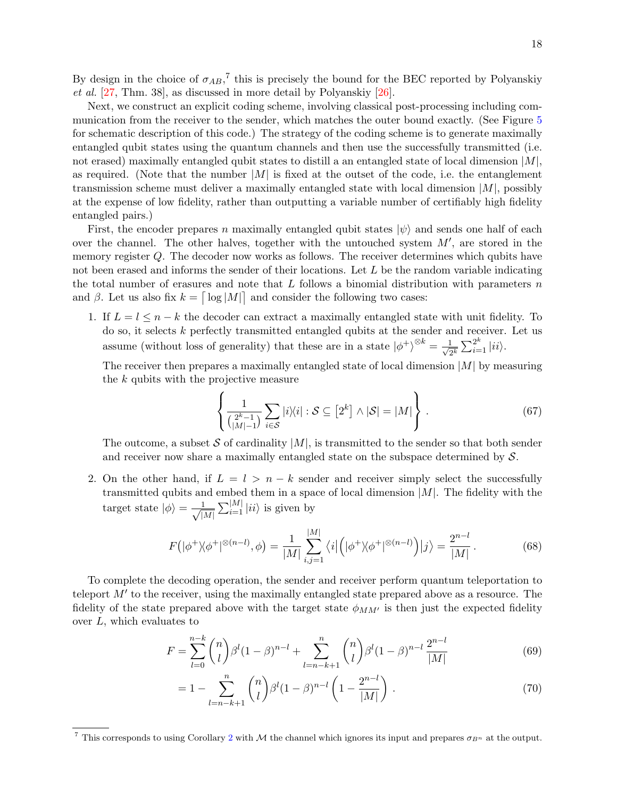By design in the choice of  $\sigma_{AB}$ ,<sup>7</sup> this is precisely the bound for the BEC reported by Polyanskiy et al. [\[27,](#page-22-6) Thm. 38], as discussed in more detail by Polyanskiy [\[26\]](#page-22-26).

Next, we construct an explicit coding scheme, involving classical post-processing including communication from the receiver to the sender, which matches the outer bound exactly. (See Figure [5](#page-9-1) for schematic description of this code.) The strategy of the coding scheme is to generate maximally entangled qubit states using the quantum channels and then use the successfully transmitted (i.e. not erased) maximally entangled qubit states to distill a an entangled state of local dimension  $|M|$ , as required. (Note that the number  $|M|$  is fixed at the outset of the code, i.e. the entanglement transmission scheme must deliver a maximally entangled state with local dimension  $|M|$ , possibly at the expense of low fidelity, rather than outputting a variable number of certifiably high fidelity entangled pairs.)

First, the encoder prepares n maximally entangled qubit states  $|\psi\rangle$  and sends one half of each over the channel. The other halves, together with the untouched system  $M'$ , are stored in the memory register Q. The decoder now works as follows. The receiver determines which qubits have not been erased and informs the sender of their locations. Let  $L$  be the random variable indicating the total number of erasures and note that  $L$  follows a binomial distribution with parameters  $n$ and  $\beta$ . Let us also fix  $k = \lceil \log|M| \rceil$  and consider the following two cases:

1. If  $L = l \leq n - k$  the decoder can extract a maximally entangled state with unit fidelity. To do so, it selects k perfectly transmitted entangled qubits at the sender and receiver. Let us assume (without loss of generality) that these are in a state  $|\phi^+\rangle^{\otimes k} = \frac{1}{\sqrt{6}}$  $\frac{1}{2^k}\sum_{i=1}^{2^k} |ii\rangle.$ 

The receiver then prepares a maximally entangled state of local dimension  $|M|$  by measuring the k qubits with the projective measure

$$
\left\{ \frac{1}{\binom{2^k - 1}{|M| - 1}} \sum_{i \in S} |i\rangle\langle i| : S \subseteq [2^k] \wedge |S| = |M| \right\}.
$$
 (67)

The outcome, a subset S of cardinality  $|M|$ , is transmitted to the sender so that both sender and receiver now share a maximally entangled state on the subspace determined by  $S$ .

2. On the other hand, if  $L = l > n - k$  sender and receiver simply select the successfully transmitted qubits and embed them in a space of local dimension  $|M|$ . The fidelity with the target state  $|\phi\rangle = -\frac{1}{\sqrt{2}}$  $\frac{1}{|M|} \sum_{i=1}^{|M|} |ii\rangle$  is given by

$$
F\left(|\phi^+\rangle\langle\phi^+|^{\otimes (n-l)},\phi\right) = \frac{1}{|M|} \sum_{i,j=1}^{|M|} \langle i|\left(|\phi^+\rangle\langle\phi^+|^{\otimes (n-l)}\right)|j\rangle = \frac{2^{n-l}}{|M|}.
$$
 (68)

To complete the decoding operation, the sender and receiver perform quantum teleportation to teleport  $M'$  to the receiver, using the maximally entangled state prepared above as a resource. The fidelity of the state prepared above with the target state  $\phi_{MM'}$  is then just the expected fidelity over  $L$ , which evaluates to

$$
F = \sum_{l=0}^{n-k} \binom{n}{l} \beta^l (1-\beta)^{n-l} + \sum_{l=n-k+1}^n \binom{n}{l} \beta^l (1-\beta)^{n-l} \frac{2^{n-l}}{|M|}
$$
(69)

$$
=1-\sum_{l=n-k+1}^{n} {n \choose l} \beta^{l} (1-\beta)^{n-l} \left(1-\frac{2^{n-l}}{|M|}\right). \tag{70}
$$

<sup>&</sup>lt;sup>7</sup> This corresponds to using Corollary [2](#page-11-0) with M the channel which ignores its input and prepares  $\sigma_{B^n}$  at the output.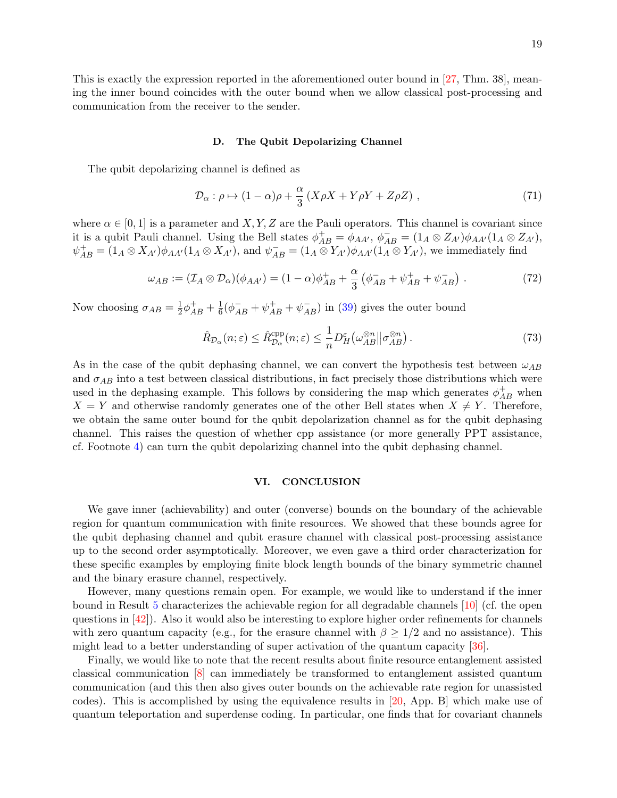This is exactly the expression reported in the aforementioned outer bound in [\[27,](#page-22-6) Thm. 38], meaning the inner bound coincides with the outer bound when we allow classical post-processing and communication from the receiver to the sender.

### D. The Qubit Depolarizing Channel

The qubit depolarizing channel is defined as

$$
\mathcal{D}_{\alpha}: \rho \mapsto (1 - \alpha)\rho + \frac{\alpha}{3} \left( X\rho X + Y\rho Y + Z\rho Z \right) , \qquad (71)
$$

where  $\alpha \in [0, 1]$  is a parameter and X, Y, Z are the Pauli operators. This channel is covariant since it is a qubit Pauli channel. Using the Bell states  $\phi_{AB}^+ = \phi_{AA'}, \ \phi_{AB}^- = (1_A \otimes Z_{A'})\phi_{AA'}(1_A \otimes Z_{A'})$ ,  $\psi_{AB}^+ = (1_A \otimes X_{A'})\phi_{AA'}(1_A \otimes X_{A'})$ , and  $\psi_{AB}^- = (1_A \otimes Y_{A'})\phi_{AA'}(1_A \otimes Y_{A'})$ , we immediately find

$$
\omega_{AB} := (\mathcal{I}_A \otimes \mathcal{D}_\alpha)(\phi_{AA'}) = (1 - \alpha)\phi_{AB}^+ + \frac{\alpha}{3} \left( \phi_{AB}^- + \psi_{AB}^+ + \psi_{AB}^- \right) . \tag{72}
$$

Now choosing  $\sigma_{AB} = \frac{1}{2}$  $\frac{1}{2}\phi_{AB}^{+} + \frac{1}{6}$  $\frac{1}{6}(\phi_{AB}^- + \psi_{AB}^+ + \psi_{AB}^-)$  in [\(39\)](#page-11-2) gives the outer bound

$$
\hat{R}_{\mathcal{D}_{\alpha}}(n;\varepsilon) \le \hat{R}_{\mathcal{D}_{\alpha}}^{\text{cpp}}(n;\varepsilon) \le \frac{1}{n} D_H^{\varepsilon} \big( \omega_{AB}^{\otimes n} \big| \sigma_{AB}^{\otimes n} \big) \,. \tag{73}
$$

As in the case of the qubit dephasing channel, we can convert the hypothesis test between  $\omega_{AB}$ and  $\sigma_{AB}$  into a test between classical distributions, in fact precisely those distributions which were used in the dephasing example. This follows by considering the map which generates  $\phi_{AB}^{+}$  when  $X = Y$  and otherwise randomly generates one of the other Bell states when  $X \neq Y$ . Therefore, we obtain the same outer bound for the qubit depolarization channel as for the qubit dephasing channel. This raises the question of whether cpp assistance (or more generally PPT assistance, cf. Footnote [4\)](#page-0-0) can turn the qubit depolarizing channel into the qubit dephasing channel.

# VI. CONCLUSION

We gave inner (achievability) and outer (converse) bounds on the boundary of the achievable region for quantum communication with finite resources. We showed that these bounds agree for the qubit dephasing channel and qubit erasure channel with classical post-processing assistance up to the second order asymptotically. Moreover, we even gave a third order characterization for these specific examples by employing finite block length bounds of the binary symmetric channel and the binary erasure channel, respectively.

However, many questions remain open. For example, we would like to understand if the inner bound in Result [5](#page-7-1) characterizes the achievable region for all degradable channels [\[10\]](#page-22-9) (cf. the open questions in  $\vert 42 \vert$ ). Also it would also be interesting to explore higher order refinements for channels with zero quantum capacity (e.g., for the erasure channel with  $\beta \geq 1/2$  and no assistance). This might lead to a better understanding of super activation of the quantum capacity [\[36\]](#page-22-27).

Finally, we would like to note that the recent results about finite resource entanglement assisted classical communication [\[8\]](#page-21-2) can immediately be transformed to entanglement assisted quantum communication (and this then also gives outer bounds on the achievable rate region for unassisted codes). This is accomplished by using the equivalence results in [\[20,](#page-22-15) App. B] which make use of quantum teleportation and superdense coding. In particular, one finds that for covariant channels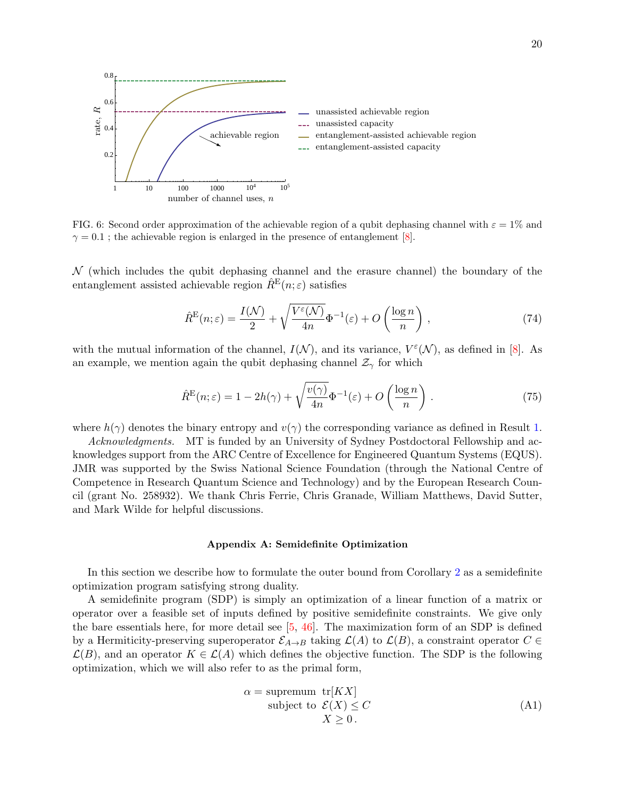

FIG. 6: Second order approximation of the achievable region of a qubit dephasing channel with  $\varepsilon = 1\%$  and  $\gamma = 0.1$ ; the achievable region is enlarged in the presence of entanglement [\[8\]](#page-21-2).

 $\mathcal N$  (which includes the qubit dephasing channel and the erasure channel) the boundary of the entanglement assisted achievable region  $\hat{R}^{E}(n;\varepsilon)$  satisfies

$$
\hat{R}^{\mathcal{E}}(n;\varepsilon) = \frac{I(\mathcal{N})}{2} + \sqrt{\frac{V^{\varepsilon}(\mathcal{N})}{4n}} \Phi^{-1}(\varepsilon) + O\left(\frac{\log n}{n}\right) ,\qquad(74)
$$

with the mutual information of the channel,  $I(\mathcal{N})$ , and its variance,  $V^{\varepsilon}(\mathcal{N})$ , as defined in [\[8\]](#page-21-2). As an example, we mention again the qubit dephasing channel  $\mathcal{Z}_{\gamma}$  for which

$$
\hat{R}^{\mathcal{E}}(n;\varepsilon) = 1 - 2h(\gamma) + \sqrt{\frac{v(\gamma)}{4n}} \Phi^{-1}(\varepsilon) + O\left(\frac{\log n}{n}\right). \tag{75}
$$

where  $h(\gamma)$  denotes the binary entropy and  $v(\gamma)$  the corresponding variance as defined in Result [1.](#page-3-0)

Acknowledgments. MT is funded by an University of Sydney Postdoctoral Fellowship and acknowledges support from the ARC Centre of Excellence for Engineered Quantum Systems (EQUS). JMR was supported by the Swiss National Science Foundation (through the National Centre of Competence in Research Quantum Science and Technology) and by the European Research Council (grant No. 258932). We thank Chris Ferrie, Chris Granade, William Matthews, David Sutter, and Mark Wilde for helpful discussions.

### <span id="page-19-0"></span>Appendix A: Semidefinite Optimization

In this section we describe how to formulate the outer bound from Corollary [2](#page-11-0) as a semidefinite optimization program satisfying strong duality.

A semidefinite program (SDP) is simply an optimization of a linear function of a matrix or operator over a feasible set of inputs defined by positive semidefinite constraints. We give only the bare essentials here, for more detail see [\[5,](#page-21-7) [46\]](#page-23-9). The maximization form of an SDP is defined by a Hermiticity-preserving superoperator  $\mathcal{E}_{A\to B}$  taking  $\mathcal{L}(A)$  to  $\mathcal{L}(B)$ , a constraint operator  $C \in$  $\mathcal{L}(B)$ , and an operator  $K \in \mathcal{L}(A)$  which defines the objective function. The SDP is the following optimization, which we will also refer to as the primal form,

$$
\alpha = \text{supremum tr}[K X] \n\text{subject to } \mathcal{E}(X) \le C \nX \ge 0.
$$
\n(A1)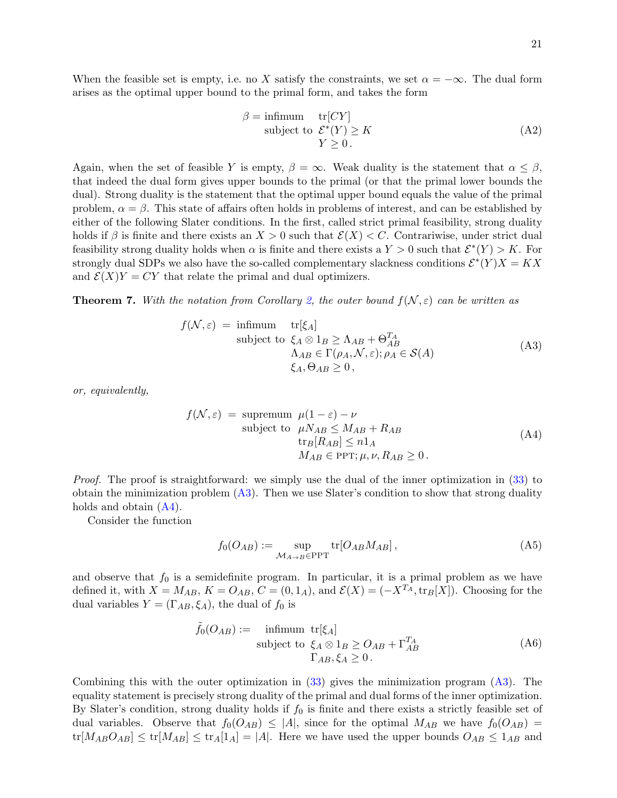When the feasible set is empty, i.e. no X satisfy the constraints, we set  $\alpha = -\infty$ . The dual form arises as the optimal upper bound to the primal form, and takes the form

$$
\beta = \underset{\text{subject to}}{\text{infirmum}} \quad \text{tr}[CY] \n \text{subject to } \mathcal{E}^*(Y) \ge K \n Y \ge 0.
$$
\n(A2)

Again, when the set of feasible Y is empty,  $\beta = \infty$ . Weak duality is the statement that  $\alpha \leq \beta$ , that indeed the dual form gives upper bounds to the primal (or that the primal lower bounds the dual). Strong duality is the statement that the optimal upper bound equals the value of the primal problem,  $\alpha = \beta$ . This state of affairs often holds in problems of interest, and can be established by either of the following Slater conditions. In the first, called strict primal feasibility, strong duality holds if  $\beta$  is finite and there exists an  $X > 0$  such that  $\mathcal{E}(X) < C$ . Contrariwise, under strict dual feasibility strong duality holds when  $\alpha$  is finite and there exists a  $Y > 0$  such that  $\mathcal{E}^*(Y) > K$ . For strongly dual SDPs we also have the so-called complementary slackness conditions  $\mathcal{E}^*(Y)X = KX$ and  $\mathcal{E}(X)Y = CY$  that relate the primal and dual optimizers.

**Theorem 7.** With the notation from Corollary [2,](#page-11-0) the outer bound  $f(\mathcal{N}, \varepsilon)$  can be written as

<span id="page-20-0"></span>
$$
f(\mathcal{N}, \varepsilon) = \text{infimum} \quad \text{tr}[\xi_A] \n\text{subject to } \xi_A \otimes 1_B \ge \Lambda_{AB} + \Theta_{AB}^{T_A} \n\Lambda_{AB} \in \Gamma(\rho_A, \mathcal{N}, \varepsilon); \rho_A \in \mathcal{S}(A) \n\xi_A, \Theta_{AB} \ge 0,
$$
\n(A3)

or, equivalently,

$$
f(\mathcal{N}, \varepsilon) = \text{supremum } \mu(1 - \varepsilon) - \nu
$$
  
subject to 
$$
\mu N_{AB} \le M_{AB} + R_{AB}
$$

$$
\text{tr}_{B}[R_{AB}] \le n1_{A}
$$

$$
M_{AB} \in \text{PPT}; \mu, \nu, R_{AB} \ge 0.
$$
 (A4)

Proof. The proof is straightforward: we simply use the dual of the inner optimization in [\(33\)](#page-11-3) to obtain the minimization problem  $(A3)$ . Then we use Slater's condition to show that strong duality holds and obtain  $(A4)$ .

Consider the function

<span id="page-20-1"></span>
$$
f_0(O_{AB}) := \sup_{\mathcal{M}_{A\to B} \in \text{PPT}} \text{tr}[O_{AB}M_{AB}], \tag{A5}
$$

and observe that  $f_0$  is a semidefinite program. In particular, it is a primal problem as we have defined it, with  $X = M_{AB}$ ,  $K = O_{AB}$ ,  $C = (0, 1_A)$ , and  $\mathcal{E}(X) = (-X^{T_A}, \text{tr}_B[X])$ . Choosing for the dual variables  $Y = (\Gamma_{AB}, \xi_A)$ , the dual of  $f_0$  is

$$
\tilde{f}_0(O_{AB}) := \underset{\Gamma_{AB}, \xi_A \ge 0}{\text{infimum}} \text{tr}[\xi_A] \n\text{subject to } \xi_A \otimes 1_B \ge O_{AB} + \Gamma_{AB}^{T_A} \n\Gamma_{AB}, \xi_A \ge 0.
$$
\n(A6)

Combining this with the outer optimization in [\(33\)](#page-11-3) gives the minimization program [\(A3\)](#page-20-0). The equality statement is precisely strong duality of the primal and dual forms of the inner optimization. By Slater's condition, strong duality holds if  $f_0$  is finite and there exists a strictly feasible set of dual variables. Observe that  $f_0(O_{AB}) \leq |A|$ , since for the optimal  $M_{AB}$  we have  $f_0(O_{AB}) =$  $tr[M_{AB}O_{AB}] \le tr[M_{AB}] \le tr_A[1_A] = |A|$ . Here we have used the upper bounds  $O_{AB} \le 1_{AB}$  and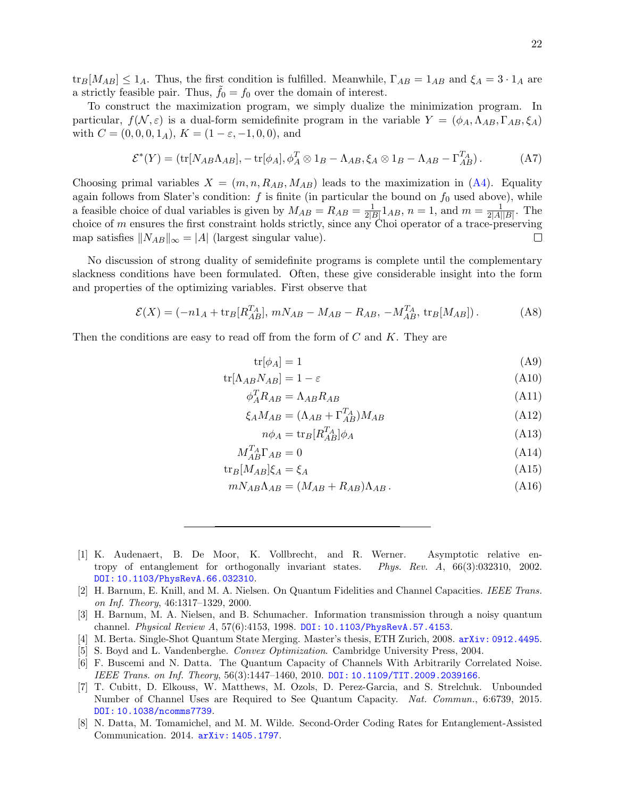$\text{tr}_B[M_{AB}] \leq 1_A$ . Thus, the first condition is fulfilled. Meanwhile,  $\Gamma_{AB} = 1_{AB}$  and  $\xi_A = 3 \cdot 1_A$  are a strictly feasible pair. Thus,  $f_0 = f_0$  over the domain of interest.

To construct the maximization program, we simply dualize the minimization program. In particular,  $f(\mathcal{N}, \varepsilon)$  is a dual-form semidefinite program in the variable  $Y = (\phi_A, \Lambda_{AB}, \Gamma_{AB}, \xi_A)$ with  $C = (0, 0, 0, 1_A), K = (1 - \varepsilon, -1, 0, 0),$  and

$$
\mathcal{E}^*(Y) = (\text{tr}[N_{AB}\Lambda_{AB}], -\text{tr}[\phi_A], \phi_A^T \otimes 1_B - \Lambda_{AB}, \xi_A \otimes 1_B - \Lambda_{AB} - \Gamma_{AB}^{T_A}). \tag{A7}
$$

Choosing primal variables  $X = (m, n, R_{AB}, M_{AB})$  leads to the maximization in [\(A4\)](#page-20-1). Equality again follows from Slater's condition:  $f$  is finite (in particular the bound on  $f_0$  used above), while a feasible choice of dual variables is given by  $M_{AB} = R_{AB} = \frac{1}{2l}$  $\frac{1}{2|B|}1_{AB}$ ,  $n=1$ , and  $m=\frac{1}{2|A|}$  $\frac{1}{2|A||B|}$ . The choice of m ensures the first constraint holds strictly, since any Choi operator of a trace-preserving map satisfies  $||N_{AB}||_{\infty} = |A|$  (largest singular value).  $\Box$ 

No discussion of strong duality of semidefinite programs is complete until the complementary slackness conditions have been formulated. Often, these give considerable insight into the form and properties of the optimizing variables. First observe that

$$
\mathcal{E}(X) = (-n1_A + \text{tr}_B[R_{AB}^{T_A}], \, mN_{AB} - M_{AB} - R_{AB}, \, -M_{AB}^{T_A}, \, \text{tr}_B[M_{AB}]). \tag{A8}
$$

Then the conditions are easy to read off from the form of  $C$  and  $K$ . They are

$$
\text{tr}[\phi_A] = 1 \tag{A9}
$$

$$
\text{tr}[\Lambda_{AB}N_{AB}] = 1 - \varepsilon \tag{A10}
$$

$$
\phi_A^T R_{AB} = \Lambda_{AB} R_{AB} \tag{A11}
$$

$$
\xi_A M_{AB} = (\Lambda_{AB} + \Gamma_{AB}^{T_A}) M_{AB} \tag{A12}
$$

$$
n\phi_A = \text{tr}_B[R_{AB}^{T_A}]\phi_A \tag{A13}
$$

$$
M_{AB}^{T_A} \Gamma_{AB} = 0 \tag{A14}
$$

$$
\text{tr}_B[M_{AB}]\xi_A = \xi_A \tag{A15}
$$

$$
mN_{AB}\Lambda_{AB} = (M_{AB} + R_{AB})\Lambda_{AB} \,. \tag{A16}
$$

<span id="page-21-4"></span>[1] K. Audenaert, B. De Moor, K. Vollbrecht, and R. Werner. Asymptotic relative entropy of entanglement for orthogonally invariant states. Phys. Rev. A, 66(3):032310, 2002. [DOI: 10.1103/PhysRevA.66.032310](http://dx.doi.org/10.1103/PhysRevA.66.032310).

- <span id="page-21-1"></span>[3] H. Barnum, M. A. Nielsen, and B. Schumacher. Information transmission through a noisy quantum channel. Physical Review A, 57(6):4153, 1998. [DOI: 10.1103/PhysRevA.57.4153](http://dx.doi.org/10.1103/PhysRevA.57.4153).
- <span id="page-21-5"></span>[4] M. Berta. Single-Shot Quantum State Merging. Master's thesis, ETH Zurich, 2008. [arXiv: 0912.4495](http://arxiv.org/abs/0912.4495).
- <span id="page-21-7"></span>[5] S. Boyd and L. Vandenberghe. Convex Optimization. Cambridge University Press, 2004.
- <span id="page-21-6"></span>[6] F. Buscemi and N. Datta. The Quantum Capacity of Channels With Arbitrarily Correlated Noise. IEEE Trans. on Inf. Theory, 56(3):1447–1460, 2010. [DOI: 10.1109/TIT.2009.2039166](http://dx.doi.org/10.1109/TIT.2009.2039166).
- <span id="page-21-3"></span>[7] T. Cubitt, D. Elkouss, W. Matthews, M. Ozols, D. Perez-Garcia, and S. Strelchuk. Unbounded Number of Channel Uses are Required to See Quantum Capacity. Nat. Commun., 6:6739, 2015. [DOI: 10.1038/ncomms7739](http://dx.doi.org/10.1038/ncomms7739).
- <span id="page-21-2"></span>[8] N. Datta, M. Tomamichel, and M. M. Wilde. Second-Order Coding Rates for Entanglement-Assisted Communication. 2014. [arXiv: 1405.1797](http://arxiv.org/abs/1405.1797).

<span id="page-21-0"></span><sup>[2]</sup> H. Barnum, E. Knill, and M. A. Nielsen. On Quantum Fidelities and Channel Capacities. IEEE Trans. on Inf. Theory, 46:1317–1329, 2000.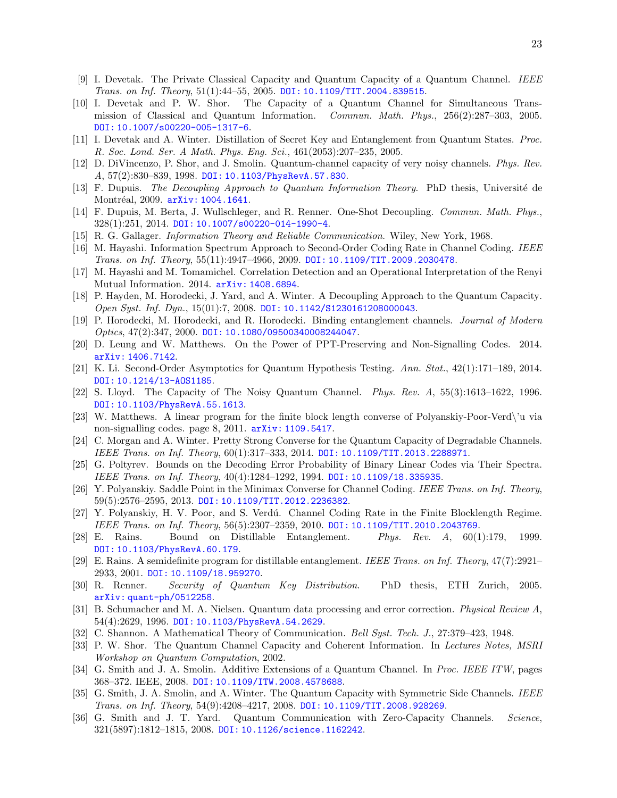- <span id="page-22-9"></span><span id="page-22-2"></span>[10] I. Devetak and P. W. Shor. The Capacity of a Quantum Channel for Simultaneous Transmission of Classical and Quantum Information. Commun. Math. Phys., 256(2):287–303, 2005. [DOI: 10.1007/s00220-005-1317-6](http://dx.doi.org/10.1007/s00220-005-1317-6).
- <span id="page-22-8"></span>[11] I. Devetak and A. Winter. Distillation of Secret Key and Entanglement from Quantum States. Proc. R. Soc. Lond. Ser. A Math. Phys. Eng. Sci., 461(2053):207–235, 2005.
- <span id="page-22-10"></span>[12] D. DiVincenzo, P. Shor, and J. Smolin. Quantum-channel capacity of very noisy channels. Phys. Rev. A, 57(2):830–839, 1998. [DOI: 10.1103/PhysRevA.57.830](http://dx.doi.org/10.1103/PhysRevA.57.830).
- <span id="page-22-19"></span>[13] F. Dupuis. The Decoupling Approach to Quantum Information Theory. PhD thesis, Université de Montréal, 2009. [arXiv: 1004.1641](http://arxiv.org/abs/1004.1641).
- <span id="page-22-20"></span>[14] F. Dupuis, M. Berta, J. Wullschleger, and R. Renner. One-Shot Decoupling. Commun. Math. Phys., 328(1):251, 2014. [DOI: 10.1007/s00220-014-1990-4](http://dx.doi.org/10.1007/s00220-014-1990-4).
- <span id="page-22-24"></span>[15] R. G. Gallager. Information Theory and Reliable Communication. Wiley, New York, 1968.
- <span id="page-22-5"></span>[16] M. Hayashi. Information Spectrum Approach to Second-Order Coding Rate in Channel Coding. IEEE Trans. on Inf. Theory, 55(11):4947–4966, 2009. [DOI: 10.1109/TIT.2009.2030478](http://dx.doi.org/10.1109/TIT.2009.2030478).
- <span id="page-22-23"></span>[17] M. Hayashi and M. Tomamichel. Correlation Detection and an Operational Interpretation of the Renyi Mutual Information. 2014. [arXiv: 1408.6894](http://arxiv.org/abs/1408.6894).
- <span id="page-22-21"></span>[18] P. Hayden, M. Horodecki, J. Yard, and A. Winter. A Decoupling Approach to the Quantum Capacity. Open Syst. Inf. Dyn., 15(01):7, 2008. [DOI: 10.1142/S1230161208000043](http://dx.doi.org/10.1142/S1230161208000043).
- <span id="page-22-18"></span>[19] P. Horodecki, M. Horodecki, and R. Horodecki. Binding entanglement channels. Journal of Modern Optics, 47(2):347, 2000. [DOI: 10.1080/09500340008244047](http://dx.doi.org/10.1080/09500340008244047).
- <span id="page-22-15"></span>[20] D. Leung and W. Matthews. On the Power of PPT-Preserving and Non-Signalling Codes. 2014. [arXiv: 1406.7142](http://arxiv.org/abs/1406.7142).
- <span id="page-22-7"></span>[21] K. Li. Second-Order Asymptotics for Quantum Hypothesis Testing. Ann. Stat., 42(1):171–189, 2014. [DOI: 10.1214/13-AOS1185](http://dx.doi.org/10.1214/13-AOS1185).
- <span id="page-22-3"></span>[22] S. Lloyd. The Capacity of The Noisy Quantum Channel. Phys. Rev. A, 55(3):1613–1622, 1996. [DOI: 10.1103/PhysRevA.55.1613](http://dx.doi.org/10.1103/PhysRevA.55.1613).
- <span id="page-22-14"></span>[23] W. Matthews. A linear program for the finite block length converse of Polyanskiy-Poor-Verd\'u via non-signalling codes. page 8, 2011. [arXiv: 1109.5417](http://arxiv.org/abs/1109.5417).
- <span id="page-22-16"></span>[24] C. Morgan and A. Winter. Pretty Strong Converse for the Quantum Capacity of Degradable Channels. IEEE Trans. on Inf. Theory, 60(1):317–333, 2014. [DOI: 10.1109/TIT.2013.2288971](http://dx.doi.org/10.1109/TIT.2013.2288971).
- <span id="page-22-25"></span>[25] G. Poltyrev. Bounds on the Decoding Error Probability of Binary Linear Codes via Their Spectra. IEEE Trans. on Inf. Theory, 40(4):1284–1292, 1994. [DOI: 10.1109/18.335935](http://dx.doi.org/10.1109/18.335935).
- <span id="page-22-26"></span>[26] Y. Polyanskiy. Saddle Point in the Minimax Converse for Channel Coding. IEEE Trans. on Inf. Theory, 59(5):2576–2595, 2013. [DOI: 10.1109/TIT.2012.2236382](http://dx.doi.org/10.1109/TIT.2012.2236382).
- <span id="page-22-6"></span>[27] Y. Polyanskiy, H. V. Poor, and S. Verdú. Channel Coding Rate in the Finite Blocklength Regime. IEEE Trans. on Inf. Theory, 56(5):2307–2359, 2010. [DOI: 10.1109/TIT.2010.2043769](http://dx.doi.org/10.1109/TIT.2010.2043769).
- <span id="page-22-17"></span>[28] E. Rains. Bound on Distillable Entanglement. Phys. Rev. A, 60(1):179, 1999. [DOI: 10.1103/PhysRevA.60.179](http://dx.doi.org/10.1103/PhysRevA.60.179).
- <span id="page-22-11"></span>[29] E. Rains. A semidefinite program for distillable entanglement. IEEE Trans. on Inf. Theory, 47(7):2921– 2933, 2001. [DOI: 10.1109/18.959270](http://dx.doi.org/10.1109/18.959270).
- <span id="page-22-22"></span>[30] R. Renner. Security of Quantum Key Distribution. PhD thesis, ETH Zurich, 2005. [arXiv: quant-ph/0512258](http://arxiv.org/abs/quant-ph/0512258).
- <span id="page-22-1"></span>[31] B. Schumacher and M. A. Nielsen. Quantum data processing and error correction. Physical Review A, 54(4):2629, 1996. [DOI: 10.1103/PhysRevA.54.2629](http://dx.doi.org/10.1103/PhysRevA.54.2629).
- <span id="page-22-0"></span>[32] C. Shannon. A Mathematical Theory of Communication. Bell Syst. Tech. J., 27:379–423, 1948.
- <span id="page-22-4"></span>[33] P. W. Shor. The Quantum Channel Capacity and Coherent Information. In Lectures Notes, MSRI Workshop on Quantum Computation, 2002.
- <span id="page-22-12"></span>[34] G. Smith and J. A. Smolin. Additive Extensions of a Quantum Channel. In Proc. IEEE ITW, pages 368–372. IEEE, 2008. [DOI: 10.1109/ITW.2008.4578688](http://dx.doi.org/10.1109/ITW.2008.4578688).
- <span id="page-22-13"></span>[35] G. Smith, J. A. Smolin, and A. Winter. The Quantum Capacity with Symmetric Side Channels. IEEE Trans. on Inf. Theory, 54(9):4208–4217, 2008. [DOI: 10.1109/TIT.2008.928269](http://dx.doi.org/10.1109/TIT.2008.928269).
- <span id="page-22-27"></span>[36] G. Smith and J. T. Yard. Quantum Communication with Zero-Capacity Channels. Science, 321(5897):1812–1815, 2008. [DOI: 10.1126/science.1162242](http://dx.doi.org/10.1126/science.1162242).